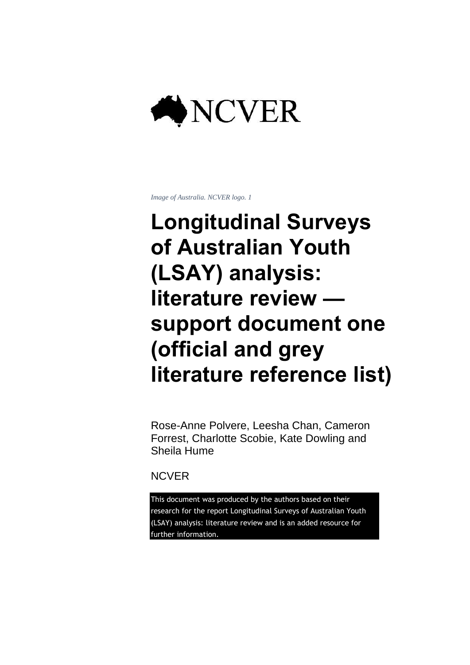

*Image of Australia. NCVER logo. 1*

### **Longitudinal Surveys of Australian Youth (LSAY) analysis: literature review support document one (official and grey literature reference list)**

Rose-Anne Polvere, Leesha Chan, Cameron Forrest, Charlotte Scobie, Kate Dowling and Sheila Hume

**NCVER** 

This document was produced by the authors based on their research for the report Longitudinal Surveys of Australian Youth (LSAY) analysis: literature review and is an added resource for further information.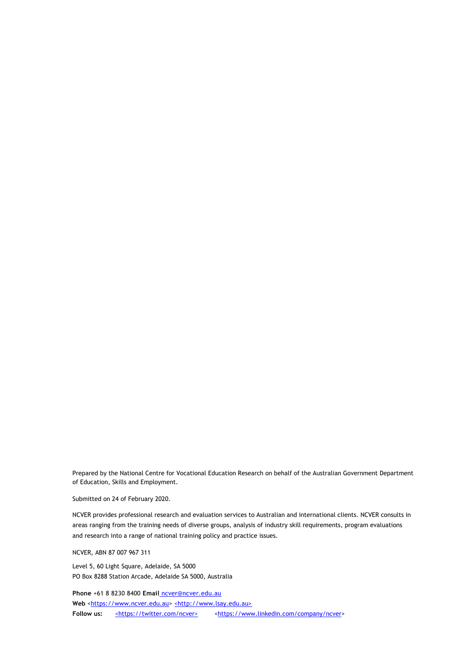Prepared by the National Centre for Vocational Education Research on behalf of the Australian Government Department of Education, Skills and Employment.

Submitted on 24 of February 2020.

NCVER provides professional research and evaluation services to Australian and international clients. NCVER consults in areas ranging from the training needs of diverse groups, analysis of industry skill requirements, program evaluations and research into a range of national training policy and practice issues.

NCVER, ABN 87 007 967 311

Level 5, 60 Light Square, Adelaide, SA 5000 PO Box 8288 Station Arcade, Adelaide SA 5000, Australia

**Phone** +61 8 8230 8400 **Email** [n](mailto:ncver@ncver.edu.au)cver@ncver.edu.au Web [<https://www.ncver.edu.au>](https://www.ncver.edu.au/) [<http://www.lsay.edu.au>](http://www.lsay.edu.au/) Follow us: shttps://twitter.com/ncver> shttps://www.linkedin.com/company/ncver>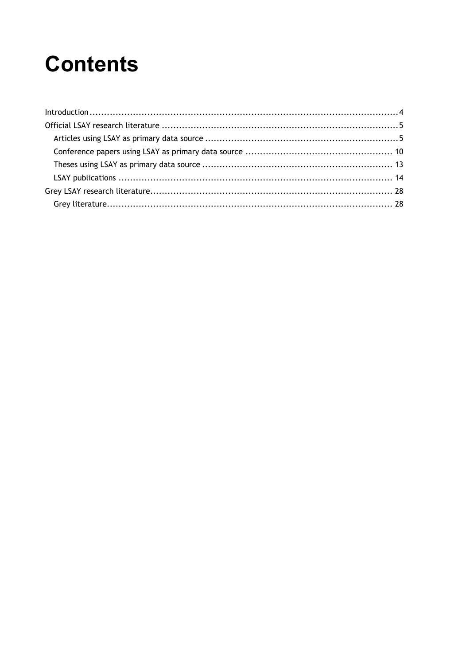### **Contents**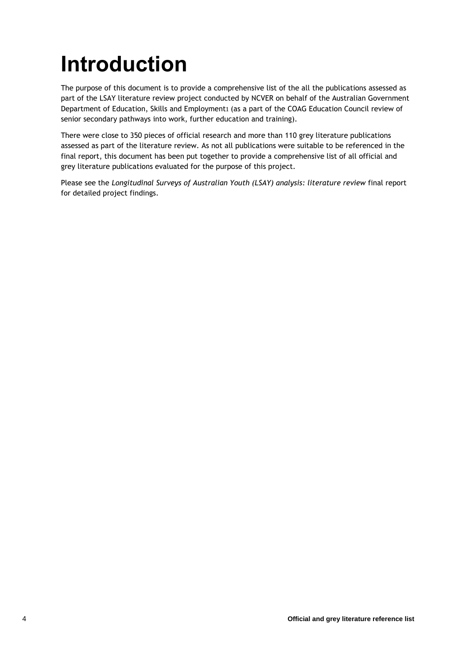# <span id="page-3-0"></span>**Introduction**

The purpose of this document is to provide a comprehensive list of the all the publications assessed as part of the LSAY literature review project conducted by NCVER on behalf of the Australian Government Department of Education, Skills and Employment1 (as a part of the COAG Education Council review of senior secondary pathways into work, further education and training).

There were close to 350 pieces of official research and more than 110 grey literature publications assessed as part of the literature review. As not all publications were suitable to be referenced in the final report, this document has been put together to provide a comprehensive list of all official and grey literature publications evaluated for the purpose of this project.

Please see the *Longitudinal Surveys of Australian Youth (LSAY) analysis: literature review* final report for detailed project findings.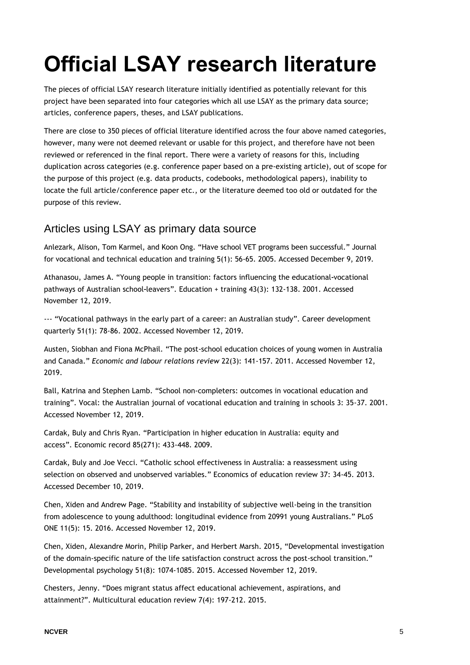# <span id="page-4-0"></span>**Official LSAY research literature**

The pieces of official LSAY research literature initially identified as potentially relevant for this project have been separated into four categories which all use LSAY as the primary data source; articles, conference papers, theses, and LSAY publications.

There are close to 350 pieces of official literature identified across the four above named categories, however, many were not deemed relevant or usable for this project, and therefore have not been reviewed or referenced in the final report. There were a variety of reasons for this, including duplication across categories (e.g. conference paper based on a pre-existing article), out of scope for the purpose of this project (e.g. data products, codebooks, methodological papers), inability to locate the full article/conference paper etc., or the literature deemed too old or outdated for the purpose of this review.

### <span id="page-4-1"></span>Articles using LSAY as primary data source

Anlezark, Alison, Tom Karmel, and Koon Ong. "Have school VET programs been successful." Journal for vocational and technical education and training 5(1): 56-65. 2005. Accessed December 9, 2019.

Athanasou, James A. "Young people in transition: factors influencing the educational-vocational pathways of Australian school-leavers". Education + training 43(3): 132-138. 2001. Accessed November 12, 2019.

--- "Vocational pathways in the early part of a career: an Australian study". Career development quarterly 51(1): 78-86. 2002. Accessed November 12, 2019.

Austen, Siobhan and Fiona McPhail. "The post-school education choices of young women in Australia and Canada." *Economic and labour relations review* 22(3): 141-157. 2011. Accessed November 12, 2019.

Ball, Katrina and Stephen Lamb. "School non-completers: outcomes in vocational education and training". Vocal: the Australian journal of vocational education and training in schools 3: 35-37. 2001. Accessed November 12, 2019.

Cardak, Buly and Chris Ryan. "Participation in higher education in Australia: equity and access". Economic record 85(271): 433-448. 2009.

Cardak, Buly and Joe Vecci. "Catholic school effectiveness in Australia: a reassessment using selection on observed and unobserved variables." Economics of education review 37: 34-45. 2013. Accessed December 10, 2019.

Chen, Xiden and Andrew Page. "Stability and instability of subjective well-being in the transition from adolescence to young adulthood: longitudinal evidence from 20991 young Australians." PLoS ONE 11(5): 15. 2016. Accessed November 12, 2019.

Chen, Xiden, Alexandre Morin, Philip Parker, and Herbert Marsh. 2015, "Developmental investigation of the domain-specific nature of the life satisfaction construct across the post-school transition." Developmental psychology 51(8): 1074-1085. 2015. Accessed November 12, 2019.

Chesters, Jenny. "Does migrant status affect educational achievement, aspirations, and attainment?". Multicultural education review 7(4): 197-212. 2015.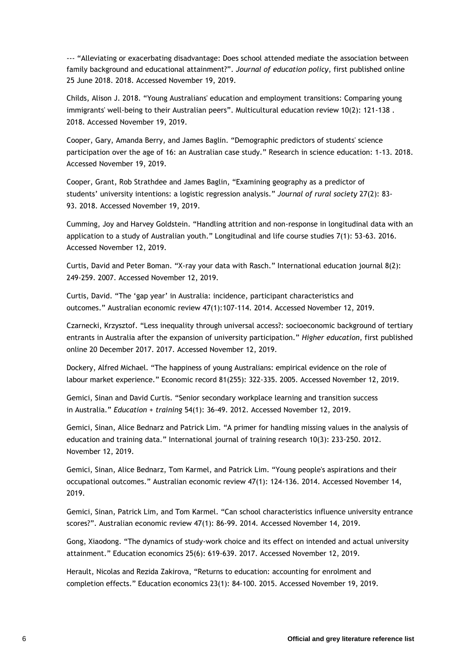--- "Alleviating or exacerbating disadvantage: Does school attended mediate the association between family background and educational attainment?". *Journal of education policy*, first published online 25 June 2018. 2018. Accessed November 19, 2019.

Childs, Alison J. 2018. "Young Australians' education and employment transitions: Comparing young immigrants' well-being to their Australian peers". Multicultural education review 10(2): 121-138 . 2018. Accessed November 19, 2019.

Cooper, Gary, Amanda Berry, and James Baglin. "Demographic predictors of students' science participation over the age of 16: an Australian case study." Research in science education: 1-13. 2018. Accessed November 19, 2019.

Cooper, Grant, Rob Strathdee and James Baglin, "Examining geography as a predictor of students' university intentions: a logistic regression analysis." *Journal of rural society* 27(2): 83- 93. 2018. Accessed November 19, 2019.

Cumming, Joy and Harvey Goldstein. "Handling attrition and non-response in longitudinal data with an application to a study of Australian youth." Longitudinal and life course studies 7(1): 53-63. 2016. Accessed November 12, 2019.

Curtis, David and Peter Boman. "X-ray your data with Rasch." International education journal 8(2): 249-259. 2007. Accessed November 12, 2019.

Curtis, David. "The 'gap year' in Australia: incidence, participant characteristics and outcomes." Australian economic review 47(1):107-114. 2014. Accessed November 12, 2019.

Czarnecki, Krzysztof. "Less inequality through universal access?: socioeconomic background of tertiary entrants in Australia after the expansion of university participation." *Higher education*, first published online 20 December 2017. 2017. Accessed November 12, 2019.

Dockery, Alfred Michael. "The happiness of young Australians: empirical evidence on the role of labour market experience." Economic record 81(255): 322-335. 2005. Accessed November 12, 2019.

Gemici, Sinan and David Curtis. "Senior secondary workplace learning and transition success in Australia." *Education + training* 54(1): 36-49. 2012. Accessed November 12, 2019.

Gemici, Sinan, Alice Bednarz and Patrick Lim. "A primer for handling missing values in the analysis of education and training data." International journal of training research 10(3): 233-250. 2012. November 12, 2019.

Gemici, Sinan, Alice Bednarz, Tom Karmel, and Patrick Lim. "Young people's aspirations and their occupational outcomes." Australian economic review 47(1): 124-136. 2014. Accessed November 14, 2019.

Gemici, Sinan, Patrick Lim, and Tom Karmel. "Can school characteristics influence university entrance scores?". Australian economic review 47(1): 86-99. 2014. Accessed November 14, 2019.

Gong, Xiaodong. "The dynamics of study-work choice and its effect on intended and actual university attainment." Education economics 25(6): 619-639. 2017. Accessed November 12, 2019.

Herault, Nicolas and Rezida Zakirova, "Returns to education: accounting for enrolment and completion effects." Education economics 23(1): 84-100. 2015. Accessed November 19, 2019.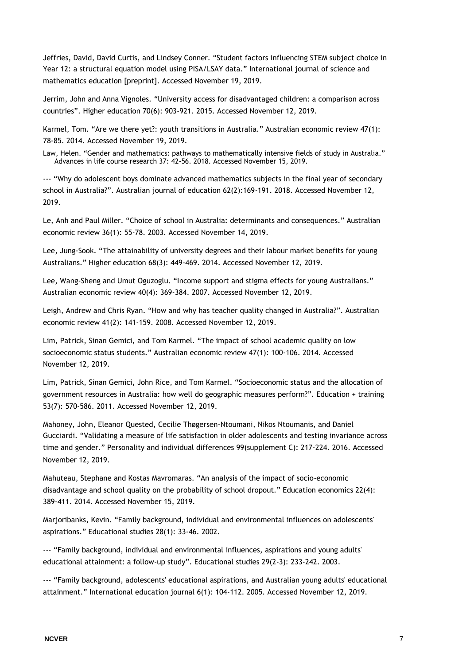Jeffries, David, David Curtis, and Lindsey Conner. "Student factors influencing STEM subject choice in Year 12: a structural equation model using PISA/LSAY data." International journal of science and mathematics education [preprint]. Accessed November 19, 2019.

Jerrim, John and Anna Vignoles. "University access for disadvantaged children: a comparison across countries". Higher education 70(6): 903-921. 2015. Accessed November 12, 2019.

Karmel, Tom. "Are we there yet?: youth transitions in Australia." Australian economic review 47(1): 78-85. 2014. Accessed November 19, 2019.

Law, Helen. "Gender and mathematics: pathways to mathematically intensive fields of study in Australia." Advances in life course research 37: 42-56. 2018. Accessed November 15, 2019.

--- "Why do adolescent boys dominate advanced mathematics subjects in the final year of secondary school in Australia?". Australian journal of education 62(2):169-191. 2018. Accessed November 12, 2019.

Le, Anh and Paul Miller. "Choice of school in Australia: determinants and consequences." Australian economic review 36(1): 55-78. 2003. Accessed November 14, 2019.

Lee, Jung-Sook. "The attainability of university degrees and their labour market benefits for young Australians." Higher education 68(3): 449-469. 2014. Accessed November 12, 2019.

Lee, Wang-Sheng and Umut Oguzoglu. "Income support and stigma effects for young Australians." Australian economic review 40(4): 369-384. 2007. Accessed November 12, 2019.

Leigh, Andrew and Chris Ryan. "How and why has teacher quality changed in Australia?". Australian economic review 41(2): 141-159. 2008. Accessed November 12, 2019.

Lim, Patrick, Sinan Gemici, and Tom Karmel. "The impact of school academic quality on low socioeconomic status students." Australian economic review 47(1): 100-106. 2014. Accessed November 12, 2019.

Lim, Patrick, Sinan Gemici, John Rice, and Tom Karmel. "Socioeconomic status and the allocation of government resources in Australia: how well do geographic measures perform?". Education + training 53(7): 570-586. 2011. Accessed November 12, 2019.

Mahoney, John, Eleanor Quested, Cecilie Thøgersen-Ntoumani, Nikos Ntoumanis, and Daniel Gucciardi. "Validating a measure of life satisfaction in older adolescents and testing invariance across time and gender." Personality and individual differences 99(supplement C): 217-224. 2016. Accessed November 12, 2019.

Mahuteau, Stephane and Kostas Mavromaras. "An analysis of the impact of socio-economic disadvantage and school quality on the probability of school dropout." Education economics 22(4): 389-411. 2014. Accessed November 15, 2019.

Marjoribanks, Kevin. "Family background, individual and environmental influences on adolescents' aspirations." Educational studies 28(1): 33-46. 2002.

--- "Family background, individual and environmental influences, aspirations and young adults' educational attainment: a follow-up study". Educational studies 29(2-3): 233-242. 2003.

--- "Family background, adolescents' educational aspirations, and Australian young adults' educational attainment." International education journal 6(1): 104-112. 2005. Accessed November 12, 2019.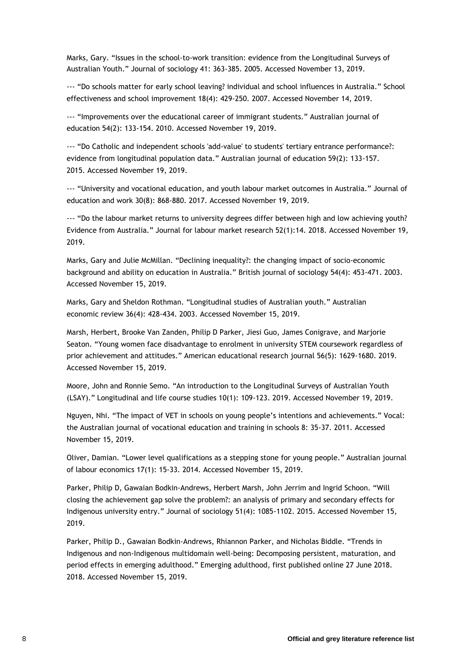Marks, Gary. "Issues in the school-to-work transition: evidence from the Longitudinal Surveys of Australian Youth." Journal of sociology 41: 363-385. 2005. Accessed November 13, 2019.

--- "Do schools matter for early school leaving? individual and school influences in Australia." School effectiveness and school improvement 18(4): 429-250. 2007. Accessed November 14, 2019.

--- "Improvements over the educational career of immigrant students." Australian journal of education 54(2): 133-154. 2010. Accessed November 19, 2019.

--- "Do Catholic and independent schools 'add-value' to students' tertiary entrance performance?: evidence from longitudinal population data." Australian journal of education 59(2): 133-157. 2015. Accessed November 19, 2019.

--- "University and vocational education, and youth labour market outcomes in Australia." Journal of education and work 30(8): 868-880. 2017. Accessed November 19, 2019.

--- "Do the labour market returns to university degrees differ between high and low achieving youth? Evidence from Australia." Journal for labour market research 52(1):14. 2018. Accessed November 19, 2019.

Marks, Gary and Julie McMillan. "Declining inequality?: the changing impact of socio-economic background and ability on education in Australia." British journal of sociology 54(4): 453-471. 2003. Accessed November 15, 2019.

Marks, Gary and Sheldon Rothman. "Longitudinal studies of Australian youth." Australian economic review 36(4): 428-434. 2003. Accessed November 15, 2019.

Marsh, Herbert, Brooke Van Zanden, Philip D Parker, Jiesi Guo, James Conigrave, and Marjorie Seaton. "Young women face disadvantage to enrolment in university STEM coursework regardless of prior achievement and attitudes." American educational research journal 56(5): 1629-1680. 2019. Accessed November 15, 2019.

Moore, John and Ronnie Semo. "An introduction to the Longitudinal Surveys of Australian Youth (LSAY)." Longitudinal and life course studies 10(1): 109-123. 2019. Accessed November 19, 2019.

Nguyen, Nhi. "The impact of VET in schools on young people's intentions and achievements." Vocal: the Australian journal of vocational education and training in schools 8: 35-37. 2011. Accessed November 15, 2019.

Oliver, Damian. "Lower level qualifications as a stepping stone for young people." Australian journal of labour economics 17(1): 15-33. 2014. Accessed November 15, 2019.

Parker, Philip D, Gawaian Bodkin-Andrews, Herbert Marsh, John Jerrim and Ingrid Schoon. "Will closing the achievement gap solve the problem?: an analysis of primary and secondary effects for Indigenous university entry." Journal of sociology 51(4): 1085-1102. 2015. Accessed November 15, 2019.

Parker, Philip D., Gawaian Bodkin-Andrews, Rhiannon Parker, and Nicholas Biddle. "Trends in Indigenous and non-Indigenous multidomain well-being: Decomposing persistent, maturation, and period effects in emerging adulthood." Emerging adulthood, first published online 27 June 2018. 2018. Accessed November 15, 2019.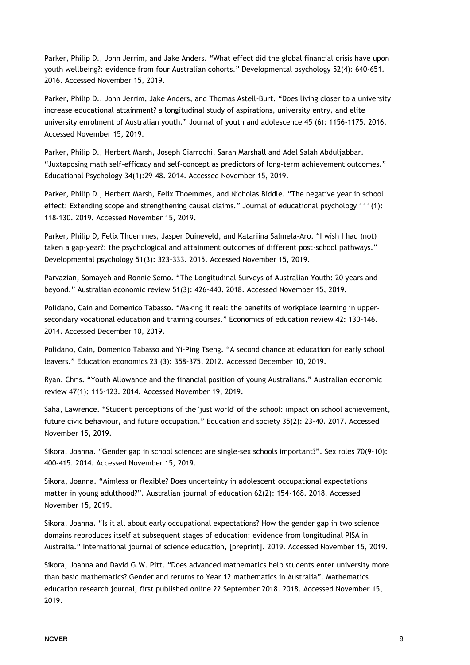Parker, Philip D., John Jerrim, and Jake Anders. "What effect did the global financial crisis have upon youth wellbeing?: evidence from four Australian cohorts." Developmental psychology 52(4): 640-651. 2016. Accessed November 15, 2019.

Parker, Philip D., John Jerrim, Jake Anders, and Thomas Astell-Burt. "Does living closer to a university increase educational attainment? a longitudinal study of aspirations, university entry, and elite university enrolment of Australian youth." Journal of youth and adolescence 45 (6): 1156-1175. 2016. Accessed November 15, 2019.

Parker, Philip D., Herbert Marsh, Joseph Ciarrochi, Sarah Marshall and Adel Salah Abduljabbar. "Juxtaposing math self-efficacy and self-concept as predictors of long-term achievement outcomes." Educational Psychology 34(1):29-48. 2014. Accessed November 15, 2019.

Parker, Philip D., Herbert Marsh, Felix Thoemmes, and Nicholas Biddle. "The negative year in school effect: Extending scope and strengthening causal claims." Journal of educational psychology 111(1): 118-130. 2019. Accessed November 15, 2019.

Parker, Philip D, Felix Thoemmes, Jasper Duineveld, and Katariina Salmela-Aro. "I wish I had (not) taken a gap-year?: the psychological and attainment outcomes of different post-school pathways." Developmental psychology 51(3): 323-333. 2015. Accessed November 15, 2019.

Parvazian, Somayeh and Ronnie Semo. "The Longitudinal Surveys of Australian Youth: 20 years and beyond." Australian economic review 51(3): 426-440. 2018. Accessed November 15, 2019.

Polidano, Cain and Domenico Tabasso. "Making it real: the benefits of workplace learning in uppersecondary vocational education and training courses." Economics of education review 42: 130-146. 2014. Accessed December 10, 2019.

Polidano, Cain, Domenico Tabasso and Yi-Ping Tseng. "A second chance at education for early school leavers." Education economics 23 (3): 358-375. 2012. Accessed December 10, 2019.

Ryan, Chris. "Youth Allowance and the financial position of young Australians." Australian economic review 47(1): 115-123. 2014. Accessed November 19, 2019.

Saha, Lawrence. "Student perceptions of the 'just world' of the school: impact on school achievement, future civic behaviour, and future occupation." Education and society 35(2): 23-40. 2017. Accessed November 15, 2019.

Sikora, Joanna. "Gender gap in school science: are single-sex schools important?". Sex roles 70(9-10): 400-415. 2014. Accessed November 15, 2019.

Sikora, Joanna. "Aimless or flexible? Does uncertainty in adolescent occupational expectations matter in young adulthood?". Australian journal of education 62(2): 154-168. 2018. Accessed November 15, 2019.

Sikora, Joanna. "Is it all about early occupational expectations? How the gender gap in two science domains reproduces itself at subsequent stages of education: evidence from longitudinal PISA in Australia." International journal of science education, [preprint]. 2019. Accessed November 15, 2019.

Sikora, Joanna and David G.W. Pitt. "Does advanced mathematics help students enter university more than basic mathematics? Gender and returns to Year 12 mathematics in Australia". Mathematics education research journal, first published online 22 September 2018. 2018. Accessed November 15, 2019.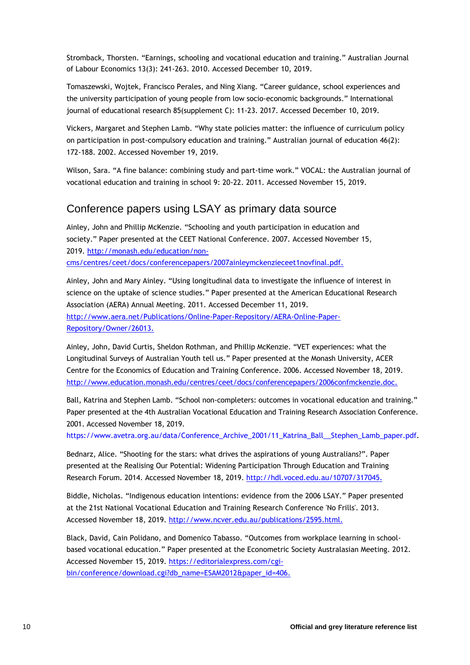Stromback, Thorsten. "Earnings, schooling and vocational education and training." Australian Journal of Labour Economics 13(3): 241-263. 2010. Accessed December 10, 2019.

Tomaszewski, Wojtek, Francisco Perales, and Ning Xiang. "Career guidance, school experiences and the university participation of young people from low socio-economic backgrounds." International journal of educational research 85(supplement C): 11-23. 2017. Accessed December 10, 2019.

Vickers, Margaret and Stephen Lamb. "Why state policies matter: the influence of curriculum policy on participation in post-compulsory education and training." Australian journal of education 46(2): 172-188. 2002. Accessed November 19, 2019.

Wilson, Sara. "A fine balance: combining study and part-time work." VOCAL: the Australian journal of vocational education and training in school 9: 20-22. 2011. Accessed November 15, 2019.

#### <span id="page-9-0"></span>Conference papers using LSAY as primary data source

Ainley, John and Phillip McKenzie. "Schooling and youth participation in education and society." Paper presented at the CEET National Conference. 2007. Accessed November 15, 2019. [http://monash.edu/education/non](http://monash.edu/education/non-cms/centres/ceet/docs/conferencepapers/2007ainleymckenzieceet1novfinal.pdf.)[cms/centres/ceet/docs/conferencepapers/2007ainleymckenzieceet1novfinal.pdf.](http://monash.edu/education/non-cms/centres/ceet/docs/conferencepapers/2007ainleymckenzieceet1novfinal.pdf.)

Ainley, John and Mary Ainley. "Using longitudinal data to investigate the influence of interest in science on the uptake of science studies." Paper presented at the American Educational Research Association (AERA) Annual Meeting. 2011. Accessed December 11, 2019. [http://www.aera.net/Publications/Online-Paper-Repository/AERA-Online-Paper-](http://www.aera.net/Publications/Online-Paper-Repository/AERA-Online-Paper-Repository/Owner/26013.)[Repository/Owner/26013.](http://www.aera.net/Publications/Online-Paper-Repository/AERA-Online-Paper-Repository/Owner/26013.)

Ainley, John, David Curtis, Sheldon Rothman, and Phillip McKenzie. "VET experiences: what the Longitudinal Surveys of Australian Youth tell us." Paper presented at the Monash University, ACER Centre for the Economics of Education and Training Conference. 2006. Accessed November 18, 2019. <http://www.education.monash.edu/centres/ceet/docs/conferencepapers/2006confmckenzie.doc.>

Ball, Katrina and Stephen Lamb. "School non-completers: outcomes in vocational education and training." Paper presented at the 4th Australian Vocational Education and Training Research Association Conference. 2001. Accessed November 18, 2019.

[https://www.avetra.org.au/data/Conference\\_Archive\\_2001/11\\_Katrina\\_Ball\\_\\_Stephen\\_Lamb\\_paper.pdf.](https://www.avetra.org.au/data/Conference_Archive_2001/11_Katrina_Ball__Stephen_Lamb_paper.pdf)

Bednarz, Alice. "Shooting for the stars: what drives the aspirations of young Australians?". Paper presented at the Realising Our Potential: Widening Participation Through Education and Training Research Forum. 2014. Accessed November 18, 2019.<http://hdl.voced.edu.au/10707/317045.>

Biddle, Nicholas. "Indigenous education intentions: evidence from the 2006 LSAY." Paper presented at the 21st National Vocational Education and Training Research Conference 'No Frills'. 2013. Accessed November 18, 2019.<http://www.ncver.edu.au/publications/2595.html.>

Black, David, Cain Polidano, and Domenico Tabasso. "Outcomes from workplace learning in schoolbased vocational education." Paper presented at the Econometric Society Australasian Meeting. 2012. Accessed November 15, 2019. [https://editorialexpress.com/cgi](https://editorialexpress.com/cgi-bin/conference/download.cgi?db_name=ESAM2012&paper_id=406.)[bin/conference/download.cgi?db\\_name=ESAM2012&paper\\_id=406.](https://editorialexpress.com/cgi-bin/conference/download.cgi?db_name=ESAM2012&paper_id=406.)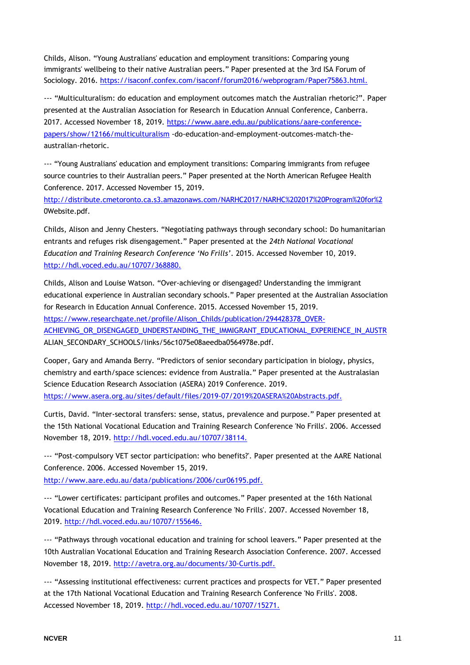Childs, Alison. "Young Australians' education and employment transitions: Comparing young immigrants' wellbeing to their native Australian peers." Paper presented at the 3rd ISA Forum of Sociology. 2016.<https://isaconf.confex.com/isaconf/forum2016/webprogram/Paper75863.html.>

--- "Multiculturalism: do education and employment outcomes match the Australian rhetoric?". Paper presented at the Australian Association for Research in Education Annual Conference, Canberra. 2017. Accessed November 18, 2019. [https://www.aare.edu.au/publications/aare-conference](https://www.aare.edu.au/publications/aare-conference-papers/show/12166/multiculturalism)[papers/show/12166/multiculturalism](https://www.aare.edu.au/publications/aare-conference-papers/show/12166/multiculturalism) -do-education-and-employment-outcomes-match-theaustralian-rhetoric.

--- "Young Australians' education and employment transitions: Comparing immigrants from refugee source countries to their Australian peers." Paper presented at the North American Refugee Health Conference. 2017. Accessed November 15, 2019.

[http://distribute.cmetoronto.ca.s3.amazonaws.com/NARHC2017/NARHC%202017%20Program%20for%2](http://distribute.cmetoronto.ca.s3.amazonaws.com/NARHC2017/NARHC%202017%20Program%20for%252) 0Website.pdf.

Childs, Alison and Jenny Chesters. "Negotiating pathways through secondary school: Do humanitarian entrants and refuges risk disengagement." Paper presented at the *24th National Vocational Education and Training Research Conference 'No Frills'*. 2015. Accessed November 10, 2019. [http://hdl.voced.edu.au/10707/368880.](http://hdl.voced.edu.au/10707/368880)

Childs, Alison and Louise Watson. "Over-achieving or disengaged? Understanding the immigrant educational experience in Australian secondary schools." Paper presented at the Australian Association for Research in Education Annual Conference. 2015. Accessed November 15, 2019. [https://www.researchgate.net/profile/Alison\\_Childs/publication/294428378\\_OVER-](https://www.researchgate.net/profile/Alison_Childs/publication/294428378_OVER-ACHIEVING_OR_DISENGAGED_UNDERSTANDING_THE_IMMIGRANT_EDUCATIONAL_EXPERIENCE_IN_AUSTR)[ACHIEVING\\_OR\\_DISENGAGED\\_UNDERSTANDING\\_THE\\_IMMIGRANT\\_EDUCATIONAL\\_EXPERIENCE\\_IN\\_AUSTR](https://www.researchgate.net/profile/Alison_Childs/publication/294428378_OVER-ACHIEVING_OR_DISENGAGED_UNDERSTANDING_THE_IMMIGRANT_EDUCATIONAL_EXPERIENCE_IN_AUSTR) ALIAN\_SECONDARY\_SCHOOLS/links/56c1075e08aeedba0564978e.pdf.

Cooper, Gary and Amanda Berry. "Predictors of senior secondary participation in biology, physics, chemistry and earth/space sciences: evidence from Australia." Paper presented at the Australasian Science Education Research Association (ASERA) 2019 Conference. 2019. <https://www.asera.org.au/sites/default/files/2019-07/2019%20ASERA%20Abstracts.pdf.>

Curtis, David. "Inter-sectoral transfers: sense, status, prevalence and purpose." Paper presented at the 15th National Vocational Education and Training Research Conference 'No Frills'. 2006. Accessed November 18, 2019.<http://hdl.voced.edu.au/10707/38114.>

--- "Post-compulsory VET sector participation: who benefits?'. Paper presented at the AARE National Conference. 2006. Accessed November 15, 2019.

<http://www.aare.edu.au/data/publications/2006/cur06195.pdf.>

--- "Lower certificates: participant profiles and outcomes." Paper presented at the 16th National Vocational Education and Training Research Conference 'No Frills'. 2007. Accessed November 18, 2019.<http://hdl.voced.edu.au/10707/155646.>

--- "Pathways through vocational education and training for school leavers." Paper presented at the 10th Australian Vocational Education and Training Research Association Conference. 2007. Accessed November 18, 2019.<http://avetra.org.au/documents/30-Curtis.pdf.>

--- "Assessing institutional effectiveness: current practices and prospects for VET." Paper presented at the 17th National Vocational Education and Training Research Conference 'No Frills'. 2008. Accessed November 18, 2019.<http://hdl.voced.edu.au/10707/15271.>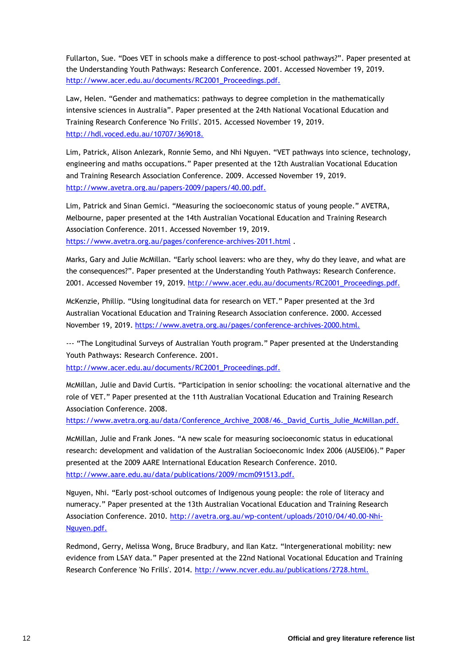Fullarton, Sue. "Does VET in schools make a difference to post-school pathways?". Paper presented at the Understanding Youth Pathways: Research Conference. 2001. Accessed November 19, 2019. [http://www.acer.edu.au/documents/RC2001\\_Proceedings.pdf.](http://www.acer.edu.au/documents/RC2001_Proceedings.pdf.)

Law, Helen. "Gender and mathematics: pathways to degree completion in the mathematically intensive sciences in Australia". Paper presented at the 24th National Vocational Education and Training Research Conference 'No Frills'. 2015. Accessed November 19, 2019. <http://hdl.voced.edu.au/10707/369018.>

Lim, Patrick, Alison Anlezark, Ronnie Semo, and Nhi Nguyen. "VET pathways into science, technology, engineering and maths occupations." Paper presented at the 12th Australian Vocational Education and Training Research Association Conference. 2009. Accessed November 19, 2019. <http://www.avetra.org.au/papers-2009/papers/40.00.pdf.>

Lim, Patrick and Sinan Gemici. "Measuring the socioeconomic status of young people." AVETRA, Melbourne, paper presented at the 14th Australian Vocational Education and Training Research Association Conference. 2011. Accessed November 19, 2019. <https://www.avetra.org.au/pages/conference-archives-2011.html> .

Marks, Gary and Julie McMillan. "Early school leavers: who are they, why do they leave, and what are the consequences?". Paper presented at the Understanding Youth Pathways: Research Conference. 2001. Accessed November 19, 2019. [http://www.acer.edu.au/documents/RC2001\\_Proceedings.pdf.](http://www.acer.edu.au/documents/RC2001_Proceedings.pdf.)

McKenzie, Phillip. "Using longitudinal data for research on VET." Paper presented at the 3rd Australian Vocational Education and Training Research Association conference. 2000. Accessed November 19, 2019.<https://www.avetra.org.au/pages/conference-archives-2000.html.>

--- "The Longitudinal Surveys of Australian Youth program." Paper presented at the Understanding Youth Pathways: Research Conference. 2001.

[http://www.acer.edu.au/documents/RC2001\\_Proceedings.pdf.](http://www.acer.edu.au/documents/RC2001_Proceedings.pdf.)

McMillan, Julie and David Curtis. "Participation in senior schooling: the vocational alternative and the role of VET." Paper presented at the 11th Australian Vocational Education and Training Research Association Conference. 2008.

[https://www.avetra.org.au/data/Conference\\_Archive\\_2008/46.\\_David\\_Curtis\\_Julie\\_McMillan.pdf.](https://www.avetra.org.au/data/Conference_Archive_2008/46._David_Curtis_Julie_McMillan.pdf.)

McMillan, Julie and Frank Jones. "A new scale for measuring socioeconomic status in educational research: development and validation of the Australian Socioeconomic Index 2006 (AUSEI06)." Paper presented at the 2009 AARE International Education Research Conference. 2010. <http://www.aare.edu.au/data/publications/2009/mcm091513.pdf.>

Nguyen, Nhi. "Early post-school outcomes of Indigenous young people: the role of literacy and numeracy." Paper presented at the 13th Australian Vocational Education and Training Research Association Conference. 2010. [http://avetra.org.au/wp-content/uploads/2010/04/40.00-Nhi-](http://avetra.org.au/wp-content/uploads/2010/04/40.00-Nhi-Nguyen.pdf.)[Nguyen.pdf.](http://avetra.org.au/wp-content/uploads/2010/04/40.00-Nhi-Nguyen.pdf.)

Redmond, Gerry, Melissa Wong, Bruce Bradbury, and Ilan Katz. "Intergenerational mobility: new evidence from LSAY data." Paper presented at the 22nd National Vocational Education and Training Research Conference 'No Frills'. 2014.<http://www.ncver.edu.au/publications/2728.html.>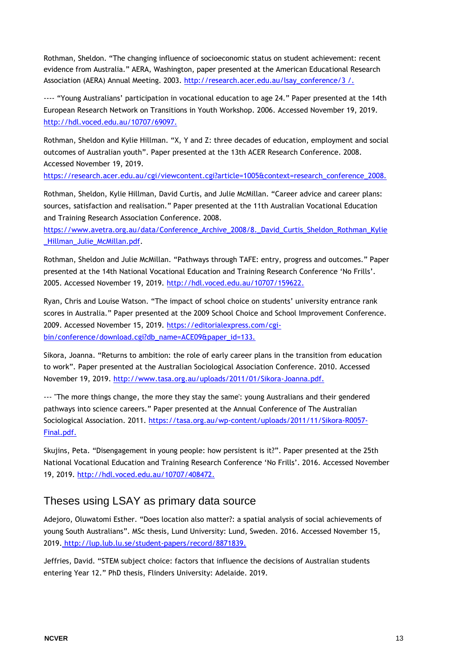Rothman, Sheldon. "The changing influence of socioeconomic status on student achievement: recent evidence from Australia." AERA, Washington, paper presented at the American Educational Research Association (AERA) Annual Meeting. 2003. [http://research.acer.edu.au/lsay\\_conference/3 /.](http://research.acer.edu.au/lsay_conference/3/)

---- "Young Australians' participation in vocational education to age 24." Paper presented at the 14th European Research Network on Transitions in Youth Workshop. 2006. Accessed November 19, 2019. <http://hdl.voced.edu.au/10707/69097.>

Rothman, Sheldon and Kylie Hillman. "X, Y and Z: three decades of education, employment and social outcomes of Australian youth". Paper presented at the 13th ACER Research Conference. 2008. Accessed November 19, 2019.

[https://research.acer.edu.au/cgi/viewcontent.cgi?article=1005&context=research\\_conference\\_2008.](https://research.acer.edu.au/cgi/viewcontent.cgi?article=1005&context=research_conference_2008.)

Rothman, Sheldon, Kylie Hillman, David Curtis, and Julie McMillan. "Career advice and career plans: sources, satisfaction and realisation." Paper presented at the 11th Australian Vocational Education and Training Research Association Conference. 2008.

https://www.avetra.org.au/data/Conference\_Archive\_2008/8. David\_Curtis\_Sheldon\_Rothman\_Kylie Hillman Julie McMillan.pdf.

Rothman, Sheldon and Julie McMillan. "Pathways through TAFE: entry, progress and outcomes." Paper presented at the 14th National Vocational Education and Training Research Conference 'No Frills'. 2005. Accessed November 19, 2019.<http://hdl.voced.edu.au/10707/159622.>

Ryan, Chris and Louise Watson. "The impact of school choice on students' university entrance rank scores in Australia." Paper presented at the 2009 School Choice and School Improvement Conference. 2009. Accessed November 15, 2019. [https://editorialexpress.com/cgi](https://editorialexpress.com/cgi-bin/conference/download.cgi?db_name=ACE09&paper_id=133.)[bin/conference/download.cgi?db\\_name=ACE09&paper\\_id=133.](https://editorialexpress.com/cgi-bin/conference/download.cgi?db_name=ACE09&paper_id=133.)

Sikora, Joanna. "Returns to ambition: the role of early career plans in the transition from education to work". Paper presented at the Australian Sociological Association Conference. 2010. Accessed November 19, 2019.<http://www.tasa.org.au/uploads/2011/01/Sikora-Joanna.pdf.>

--- "The more things change, the more they stay the same': young Australians and their gendered pathways into science careers." Paper presented at the Annual Conference of The Australian Sociological Association. 2011. [https://tasa.org.au/wp-content/uploads/2011/11/Sikora-R0057-](https://tasa.org.au/wp-content/uploads/2011/11/Sikora-R0057-Final.pdf.) [Final.pdf.](https://tasa.org.au/wp-content/uploads/2011/11/Sikora-R0057-Final.pdf.)

Skujins, Peta. "Disengagement in young people: how persistent is it?". Paper presented at the 25th National Vocational Education and Training Research Conference 'No Frills'. 2016. Accessed November 19, 2019.<http://hdl.voced.edu.au/10707/408472.>

#### <span id="page-12-0"></span>Theses using LSAY as primary data source

Adejoro, Oluwatomi Esther. "Does location also matter?: a spatial analysis of social achievements of young South Australians". MSc thesis, Lund University: Lund, Sweden. 2016. Accessed November 15, 2019. [http://lup.lub.lu.se/student-papers/record/8871839.](http://lup.lub.lu.se/student-papers/record/8871839)

Jeffries, David. "STEM subject choice: factors that influence the decisions of Australian students entering Year 12." PhD thesis, Flinders University: Adelaide. 2019.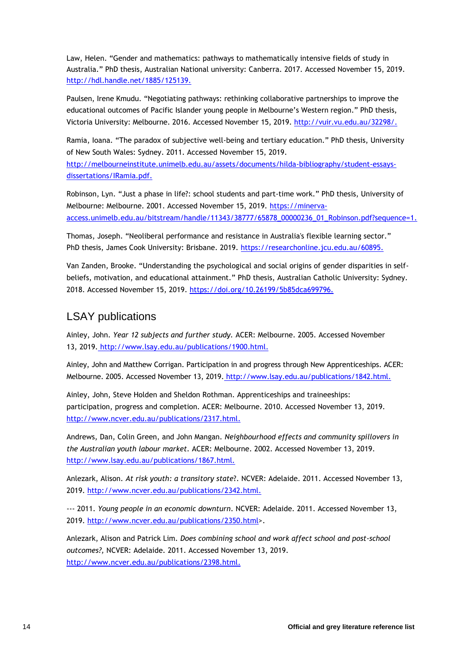Law, Helen. "Gender and mathematics: pathways to mathematically intensive fields of study in Australia." PhD thesis, Australian National university: Canberra. 2017. Accessed November 15, 2019. [http://hdl.handle.net/1885/125139.](http://hdl.handle.net/1885/125139)

Paulsen, Irene Kmudu. "Negotiating pathways: rethinking collaborative partnerships to improve the educational outcomes of Pacific Islander young people in Melbourne's Western region." PhD thesis, Victoria University: Melbourne. 2016. Accessed November 15, 2019. [http://vuir.vu.edu.au/32298/.](http://vuir.vu.edu.au/32298/)

Ramia, Ioana. "The paradox of subjective well-being and tertiary education." PhD thesis, University of New South Wales: Sydney. 2011. Accessed November 15, 2019.

[http://melbourneinstitute.unimelb.edu.au/assets/documents/hilda-bibliography/student-essays](http://melbourneinstitute.unimelb.edu.au/assets/documents/hilda-bibliography/student-essays-dissertations/IRamia.pdf)[dissertations/IRamia.pdf.](http://melbourneinstitute.unimelb.edu.au/assets/documents/hilda-bibliography/student-essays-dissertations/IRamia.pdf)

Robinson, Lyn. "Just a phase in life?: school students and part-time work." PhD thesis, University of Melbourne: Melbourne. 2001. Accessed November 15, 2019. [https://minerva](https://minerva-access.unimelb.edu.au/bitstream/handle/11343/38777/65878_00000236_01_Robinson.pdf?sequence=)[access.unimelb.edu.au/bitstream/handle/11343/38777/65878\\_00000236\\_01\\_Robinson.pdf?sequence=1](https://minerva-access.unimelb.edu.au/bitstream/handle/11343/38777/65878_00000236_01_Robinson.pdf?sequence=).

Thomas, Joseph. "Neoliberal performance and resistance in Australia's flexible learning sector." PhD thesis, James Cook University: Brisbane. 2019.<https://researchonline.jcu.edu.au/60895.>

Van Zanden, Brooke. "Understanding the psychological and social origins of gender disparities in selfbeliefs, motivation, and educational attainment." PhD thesis, Australian Catholic University: Sydney. 2018. Accessed November 15, 2019.<https://doi.org/10.26199/5b85dca699796.>

#### <span id="page-13-0"></span>LSAY publications

Ainley, John. *Year 12 subjects and further study.* ACER: Melbourne. 2005. Accessed November 13, 2019. [http://www.lsay.edu.au/publications/1900.html.](http://www.lsay.edu.au/publications/1900.html)

Ainley, John and Matthew Corrigan. Participation in and progress through New Apprenticeships. ACER: Melbourne. 2005. Accessed November 13, 2019. [h](http://www.lsay.edu.au/publications/1842.html)ttp://www.lsay.edu.au/publications/1842.html.

Ainley, John, Steve Holden and Sheldon Rothman. Apprenticeships and traineeships: participation, progress and completion. ACER: Melbourne. 2010. Accessed November 13, 2019. [http://www.ncver.edu.au/publications/2317.html.](http://www.ncver.edu.au/publications/2317.html)

Andrews, Dan, Colin Green, and John Mangan. *Neighbourhood effects and community spillovers in the Australian youth labour market.* ACER: Melbourne. 2002. Accessed November 13, 2019. <http://www.lsay.edu.au/publications/1867.html.>

Anlezark, Alison. *At risk youth: a transitory state*?. NCVER: Adelaide. 2011. Accessed November 13, 2019.<http://www.ncver.edu.au/publications/2342.html.>

--- 2011. *Young people in an economic downturn*. NCVER: Adelaide. 2011. Accessed November 13, 2019. [http://www.ncver.edu.au/publications/2350.html>](http://www.ncver.edu.au/publications/2350.html).

Anlezark, Alison and Patrick Lim. *Does combining school and work affect school and post-school outcomes?,* NCVER: Adelaide. 2011. Accessed November 13, 2019. [http://www.ncver.edu.au/publications/2398.html.](http://www.ncver.edu.au/publications/2398.html)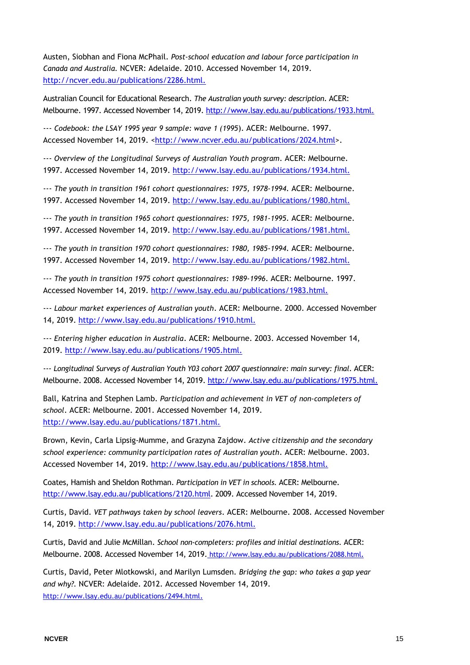Austen, Siobhan and Fiona McPhail. *Post-school education and labour force participation in Canada and Australia.* NCVER: Adelaide. 2010. Accessed November 14, 2019. <http://ncver.edu.au/publications/2286.html.>

Australian Council for Educational Research. *The Australian youth survey: description*. ACER: Melbourne. 1997. Accessed November 14, 2019.<http://www.lsay.edu.au/publications/1933.html.>

--- *Codebook: the LSAY 1995 year 9 sample: wave 1 (1995*). ACER: Melbourne. 1997. Accessed November 14, 2019. [<http://www.ncver.edu.au/publications/2024.html>](http://www.ncver.edu.au/publications/2024.html).

--- *Overview of the Longitudinal Surveys of Australian Youth program*. ACER: Melbourne. 1997. Accessed November 14, 2019.<http://www.lsay.edu.au/publications/1934.html.>

--- *The youth in transition 1961 cohort questionnaires: 1975, 1978-1994*. ACER: Melbourne. 1997. Accessed November 14, 2019.<http://www.lsay.edu.au/publications/1980.html.>

--- *The youth in transition 1965 cohort questionnaires: 1975, 1981-1995*. ACER: Melbourne. 1997. Accessed November 14, 2019.<http://www.lsay.edu.au/publications/1981.html.>

--- *The youth in transition 1970 cohort questionnaires: 1980, 1985-1994*. ACER: Melbourne. 1997. Accessed November 14, 2019.<http://www.lsay.edu.au/publications/1982.html.>

--- *The youth in transition 1975 cohort questionnaires: 1989-1996*. ACER: Melbourne. 1997. Accessed November 14, 2019.<http://www.lsay.edu.au/publications/1983.html.>

--- *Labour market experiences of Australian youth*. ACER: Melbourne. 2000. Accessed November 14, 2019.<http://www.lsay.edu.au/publications/1910.html.>

--- *Entering higher education in Australia*. ACER: Melbourne. 2003. Accessed November 14, 2019.<http://www.lsay.edu.au/publications/1905.html.>

--- *Longitudinal Surveys of Australian Youth Y03 cohort 2007 questionnaire: main survey: final*. ACER: Melbourne. 2008. Accessed November 14, 2019.<http://www.lsay.edu.au/publications/1975.html.>

Ball, Katrina and Stephen Lamb. *Participation and achievement in VET of non-completers of school*. ACER: Melbourne. 2001. Accessed November 14, 2019. <http://www.lsay.edu.au/publications/1871.html.>

Brown, Kevin, Carla Lipsig-Mumme, and Grazyna Zajdow. *Active citizenship and the secondary school experience: community participation rates of Australian youth*. ACER: Melbourne. 2003. Accessed November 14, 2019.<http://www.lsay.edu.au/publications/1858.html.>

Coates, Hamish and Sheldon Rothman. *Participation in VET in schools.* ACER: Melbourne. [http://www.lsay.edu.au/publications/2120.html.](http://www.lsay.edu.au/publications/2120.html) 2009. Accessed November 14, 2019.

Curtis, David. *VET pathways taken by school leavers*. ACER: Melbourne. 2008. Accessed November 14, 2019.<http://www.lsay.edu.au/publications/2076.html.>

Curtis, David and Julie McMillan. *School non-completers: profiles and initial destinations.* ACER: Melbourne. 2008. Accessed November 14, 2019[.](http://www.lsay.edu.au/publications/2088.html) http://www.lsay.edu.au/publications/2088.html.

Curtis, David, Peter Mlotkowski, and Marilyn Lumsden. *Bridging the gap: who takes a gap year and why?.* NCVER: Adelaide. 2012. Accessed November 14, 2019. <http://www.lsay.edu.au/publications/2494.html>.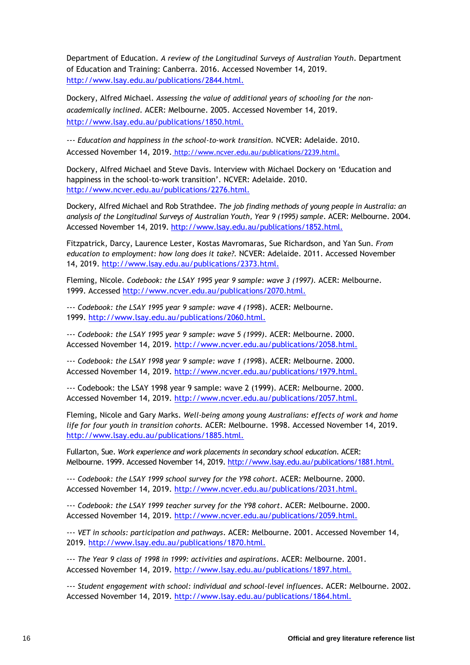Department of Education. *A review of the Longitudinal Surveys of Australian Youth*. Department of Education and Training: Canberra. 2016. Accessed November 14, 2019. <http://www.lsay.edu.au/publications/2844.html.>

Dockery, Alfred Michael. *Assessing the value of additional years of schooling for the nonacademically inclined*. ACER: Melbourne. 2005. Accessed November 14, 2019. <http://www.lsay.edu.au/publications/1850.html.>

--- *Education and happiness in the school-to-work transition.* NCVER: Adelaide. 2010. Accessed November 14, 2019[.](http://www.ncver.edu.au/publications/2239.html) http://www.ncver.edu.au/publications/2239.html.

Dockery, Alfred Michael and Steve Davis. Interview with Michael Dockery on 'Education and happiness in the school-to-work transition'. NCVER: Adelaide. 2010. <http://www.ncver.edu.au/publications/2276.html.>

Dockery, Alfred Michael and Rob Strathdee. *The job finding methods of young people in Australia: an analysis of the Longitudinal Surveys of Australian Youth, Year 9 (1995) sample*. ACER: Melbourne. 2004. Accessed November 14, 2019.<http://www.lsay.edu.au/publications/1852.html.>

Fitzpatrick, Darcy, Laurence Lester, Kostas Mavromaras, Sue Richardson, and Yan Sun. *From education to employment: how long does it take?.* NCVER: Adelaide. 2011. Accessed November 14, 2019.<http://www.lsay.edu.au/publications/2373.html.>

Fleming, Nicole*. Codebook: the LSAY 1995 year 9 sample: wave 3 (1997).* ACER: Melbourne. 1999. Accessed<http://www.ncver.edu.au/publications/2070.html.>

--- *Codebook: the LSAY 1995 year 9 sample: wave 4 (199*8). ACER: Melbourne. 1999.<http://www.lsay.edu.au/publications/2060.html.>

--- *Codebook: the LSAY 1995 year 9 sample: wave 5 (1999)*. ACER: Melbourne. 2000. Accessed November 14, 2019.<http://www.ncver.edu.au/publications/2058.html.>

--- *Codebook: the LSAY 1998 year 9 sample: wave 1 (199*8). ACER: Melbourne. 2000. Accessed November 14, 2019.<http://www.ncver.edu.au/publications/1979.html.>

--- Codebook: the LSAY 1998 year 9 sample: wave 2 (1999). ACER: Melbourne. 2000. Accessed November 14, 2019.<http://www.ncver.edu.au/publications/2057.html.>

Fleming, Nicole and Gary Marks. *Well-being among young Australians: effects of work and home life for four youth in transition cohorts.* ACER: Melbourne. 1998. Accessed November 14, 2019. <http://www.lsay.edu.au/publications/1885.html.>

Fullarton, Sue. *Work experience and work placements in secondary school education*. ACER: Melbourne. 1999. Accessed November 14, 2019[. http://www.lsay.edu.au/publications/1881.html.](http://www.lsay.edu.au/publications/1881.html.)

--- *Codebook: the LSAY 1999 school survey for the Y98 cohort.* ACER: Melbourne. 2000. Accessed November 14, 2019.<http://www.ncver.edu.au/publications/2031.html.>

--- *Codebook: the LSAY 1999 teacher survey for the Y98 cohort*. ACER: Melbourne. 2000. Accessed November 14, 2019.<http://www.ncver.edu.au/publications/2059.html.>

--- *VET in schools: participation and pathways*. ACER: Melbourne. 2001. Accessed November 14, 2019.<http://www.lsay.edu.au/publications/1870.html.>

--- *The Year 9 class of 1998 in 1999: activities and aspirations*. ACER: Melbourne. 2001. Accessed November 14, 2019.<http://www.lsay.edu.au/publications/1897.html.>

--- *Student engagement with school: individual and school-level influences*. ACER: Melbourne. 2002. Accessed November 14, 2019.<http://www.lsay.edu.au/publications/1864.html.>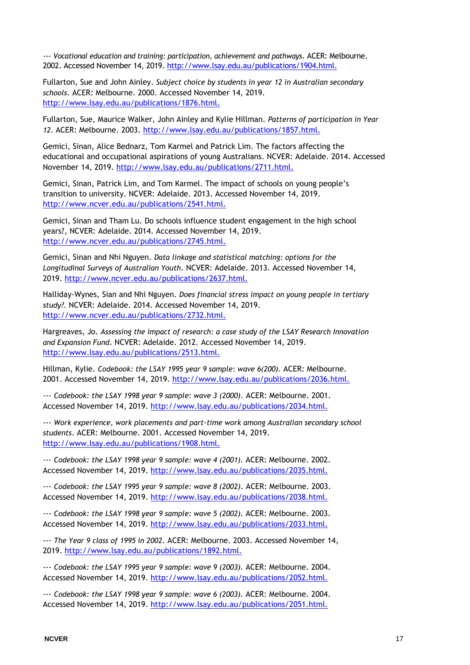--- *Vocational education and training: participation, achievement and pathways*. ACER: Melbourne. 2002. Accessed November 14, 2019.<http://www.lsay.edu.au/publications/1904.html.>

Fullarton, Sue and John Ainley. *Subject choice by students in year 12 in Australian secondary schools*. ACER: Melbourne. 2000. Accessed November 14, 2019. <http://www.lsay.edu.au/publications/1876.html.>

Fullarton, Sue, Maurice Walker, John Ainley and Kylie Hillman. *Patterns of participation in Year 12.* ACER: Melbourne. 2003.<http://www.lsay.edu.au/publications/1857.html.>

Gemici, Sinan, Alice Bednarz, Tom Karmel and Patrick Lim. The factors affecting the educational and occupational aspirations of young Australians. NCVER: Adelaide. 2014. Accessed November 14, 2019. [http://www.lsay.edu.au/publications/2711.html.](http://www.lsay.edu.au/publications/2711.html)

Gemici, Sinan, Patrick Lim, and Tom Karmel. The impact of schools on young people's transition to university. NCVER: Adelaide. 2013. Accessed November 14, 2019. [http://www.ncver.edu.au/publications/2541.html.](http://www.ncver.edu.au/publications/2541.html)

Gemici, Sinan and Tham Lu. Do schools influence student engagement in the high school years?, NCVER: Adelaide. 2014. Accessed November 14, 2019. [http://www.ncver.edu.au/publications/2745.html.](http://www.ncver.edu.au/publications/2745.html)

Gemici, Sinan and Nhi Nguyen. *Data linkage and statistical matching: options for the Longitudinal Surveys of Australian Youth*. NCVER: Adelaide. 2013. Accessed November 14, 2019.<http://www.ncver.edu.au/publications/2637.html.>

Halliday-Wynes, Sian and Nhi Nguyen. *Does financial stress impact on young people in tertiary study?.* NCVER: Adelaide. 2014. Accessed November 14, 2019. <http://www.ncver.edu.au/publications/2732.html.>

Hargreaves, Jo. *Assessing the impact of research: a case study of the LSAY Research Innovation and Expansion Fund*. NCVER: Adelaide. 2012. Accessed November 14, 2019. <http://www.lsay.edu.au/publications/2513.html.>

Hillman, Kylie. *Codebook: the LSAY 1995 year 9 sample: wave 6(200).* ACER: Melbourne. 2001. Accessed November 14, 2019.<http://www.lsay.edu.au/publications/2036.html.>

--- *Codebook: the LSAY 1998 year 9 sample: wave 3 (2000)*. ACER: Melbourne. 2001. Accessed November 14, 2019.<http://www.lsay.edu.au/publications/2034.html.>

--- *Work experience, work placements and part-time work among Australian secondary school students*. ACER: Melbourne. 2001. Accessed November 14, 2019. <http://www.lsay.edu.au/publications/1908.html.>

--- *Codebook: the LSAY 1998 year 9 sample: wave 4 (2001).* ACER: Melbourne. 2002. Accessed November 14, 2019.<http://www.lsay.edu.au/publications/2035.html.>

--- *Codebook: the LSAY 1995 year 9 sample: wave 8 (2002)*. ACER: Melbourne. 2003. Accessed November 14, 2019.<http://www.lsay.edu.au/publications/2038.html.>

--- *Codebook: the LSAY 1998 year 9 sample: wave 5 (2002).* ACER: Melbourne. 2003. Accessed November 14, 2019.<http://www.lsay.edu.au/publications/2033.html.>

--- *The Year 9 class of 1995 in 2002*. ACER: Melbourne. 2003. Accessed November 14, 2019.<http://www.lsay.edu.au/publications/1892.html.>

--- *Codebook: the LSAY 1995 year 9 sample: wave 9 (2003).* ACER: Melbourne. 2004. Accessed November 14, 2019.<http://www.lsay.edu.au/publications/2052.html.>

--- *Codebook: the LSAY 1998 year 9 sample: wave 6 (2003).* ACER: Melbourne. 2004. Accessed November 14, 2019.<http://www.lsay.edu.au/publications/2051.html.>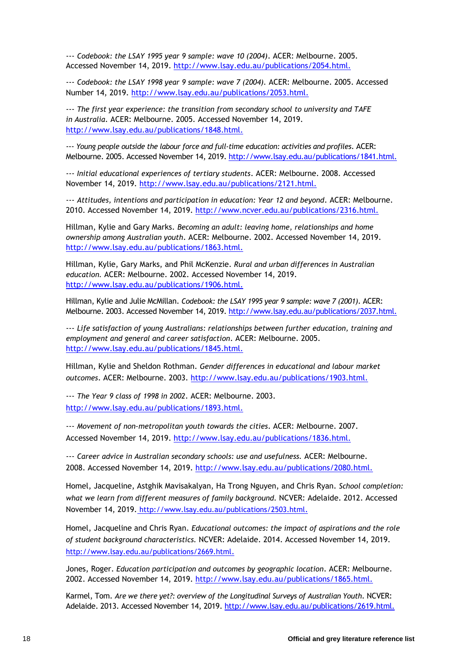--- *Codebook: the LSAY 1995 year 9 sample: wave 10 (2004)*. ACER: Melbourne. 2005. Accessed November 14, 2019.<http://www.lsay.edu.au/publications/2054.html.>

--- *Codebook: the LSAY 1998 year 9 sample: wave 7 (2004).* ACER: Melbourne. 2005. Accessed Number 14, 2019.<http://www.lsay.edu.au/publications/2053.html.>

--- *The first year experience: the transition from secondary school to university and TAFE in Australia*. ACER: Melbourne. 2005. Accessed November 14, 2019. <http://www.lsay.edu.au/publications/1848.html.>

--- *Young people outside the labour force and full-time education: activities and profiles*. ACER: Melbourne. 2005. Accessed November 14, 2019.<http://www.lsay.edu.au/publications/1841.html.>

--- *Initial educational experiences of tertiary students*. ACER: Melbourne. 2008. Accessed November 14, 2019.<http://www.lsay.edu.au/publications/2121.html.>

--- *Attitudes, intentions and participation in education: Year 12 and beyond*. ACER: Melbourne. 2010. Accessed November 14, 2019.<http://www.ncver.edu.au/publications/2316.html.>

Hillman, Kylie and Gary Marks. *Becoming an adult: leaving home, relationships and home ownership among Australian youth*. ACER: Melbourne. 2002. Accessed November 14, 2019. <http://www.lsay.edu.au/publications/1863.html.>

Hillman, Kylie, Gary Marks, and Phil McKenzie. *Rural and urban differences in Australian education.* ACER: Melbourne. 2002. Accessed November 14, 2019. <http://www.lsay.edu.au/publications/1906.html.>

Hillman, Kylie and Julie McMillan. *Codebook: the LSAY 1995 year 9 sample: wave 7 (2001)*. ACER: Melbourne. 2003. Accessed November 14, 2019.<http://www.lsay.edu.au/publications/2037.html.>

--- *Life satisfaction of young Australians: relationships between further education, training and employment and general and career satisfaction*. ACER: Melbourne. 2005. <http://www.lsay.edu.au/publications/1845.html.>

Hillman, Kylie and Sheldon Rothman. *Gender differences in educational and labour market outcomes*. ACER: Melbourne. 2003.<http://www.lsay.edu.au/publications/1903.html.>

--- *The Year 9 class of 1998 in 2002*. ACER: Melbourne. 2003. <http://www.lsay.edu.au/publications/1893.html.>

--- *Movement of non-metropolitan youth towards the cities*. ACER: Melbourne. 2007. Accessed November 14, 2019.<http://www.lsay.edu.au/publications/1836.html.>

--- *Career advice in Australian secondary schools: use and usefulness.* ACER: Melbourne. 2008. Accessed November 14, 2019.<http://www.lsay.edu.au/publications/2080.html.>

Homel, Jacqueline, Astghik Mavisakalyan, Ha Trong Nguyen, and Chris Ryan. *School completion: what we learn from different measures of family background.* NCVER: Adelaide. 2012. Accessed November 14, 2019. [h](http://www.lsay.edu.au/publications/2503.html)ttp://www.lsay.edu.au/publications/2503.html.

Homel, Jacqueline and Chris Ryan. *Educational outcomes: the impact of aspirations and the role of student background characteristics.* NCVER: Adelaide. 2014. Accessed November 14, 2019. <http://www.lsay.edu.au/publications/2669.html>.

Jones, Roger. *Education participation and outcomes by geographic location*. ACER: Melbourne. 2002. Accessed November 14, 2019.<http://www.lsay.edu.au/publications/1865.html.>

Karmel, Tom. *Are we there yet?: overview of the Longitudinal Surveys of Australian Youth*. NCVER: Adelaide. 2013. Accessed November 14, 2019[. http://www.lsay.edu.au/publications/2619.html.](http://www.lsay.edu.au/publications/2619.html.)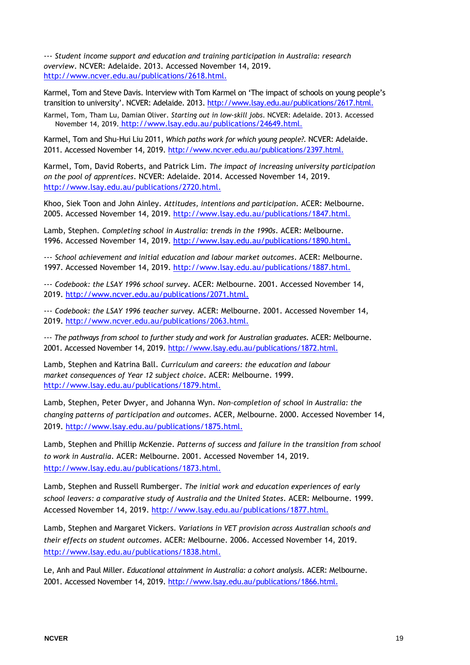--- *Student income support and education and training participation in Australia: research overview*. NCVER: Adelaide. 2013. Accessed November 14, 2019. <http://www.ncver.edu.au/publications/2618.html.>

Karmel, Tom and Steve Davis. Interview with Tom Karmel on 'The impact of schools on young people's transition to university'. NCVER: Adelaide. 2013. <http://www.lsay.edu.au/publications/2617.html.>

Karmel, Tom, Tham Lu, Damian Oliver. *Starting out in low-skill jobs*. NCVER: Adelaide. 2013. Accessed November 14, 2019. [h](http://www.lsay.edu.au/publications/24649.html)ttp://www.lsay.edu.au/publications/24649.html.

Karmel, Tom and Shu-Hui Liu 2011, *Which paths work for which young people?.* NCVER: Adelaide. 2011. Accessed November 14, 2019.<http://www.ncver.edu.au/publications/2397.html.>

Karmel, Tom, David Roberts, and Patrick Lim. *The impact of increasing university participation on the pool of apprentices*. NCVER: Adelaide. 2014. Accessed November 14, 2019. <http://www.lsay.edu.au/publications/2720.html.>

Khoo, Siek Toon and John Ainley. *Attitudes, intentions and participation*. ACER: Melbourne. 2005. Accessed November 14, 2019.<http://www.lsay.edu.au/publications/1847.html.>

Lamb, Stephen. *Completing school in Australia: trends in the 1990s*. ACER: Melbourne. 1996. Accessed November 14, 2019.<http://www.lsay.edu.au/publications/1890.html.>

--- *School achievement and initial education and labour market outcomes*. ACER: Melbourne. 1997. Accessed November 14, 2019.<http://www.lsay.edu.au/publications/1887.html.>

--- *Codebook: the LSAY 1996 school survey*. ACER: Melbourne. 2001. Accessed November 14, 2019.<http://www.ncver.edu.au/publications/2071.html.>

--- *Codebook: the LSAY 1996 teacher survey.* ACER: Melbourne. 2001. Accessed November 14, 2019.<http://www.ncver.edu.au/publications/2063.html.>

--- *The pathways from school to further study and work for Australian graduates*. ACER: Melbourne. 2001. Accessed November 14, 2019.<http://www.lsay.edu.au/publications/1872.html.>

Lamb, Stephen and Katrina Ball. *Curriculum and careers: the education and labour market consequences of Year 12 subject choice*. ACER: Melbourne. 1999. <http://www.lsay.edu.au/publications/1879.html.>

Lamb, Stephen, Peter Dwyer, and Johanna Wyn. *Non-completion of school in Australia: the changing patterns of participation and outcomes*. ACER, Melbourne. 2000. Accessed November 14, 2019.<http://www.lsay.edu.au/publications/1875.html.>

Lamb, Stephen and Phillip McKenzie. *Patterns of success and failure in the transition from school to work in Australia*. ACER: Melbourne. 2001. Accessed November 14, 2019. <http://www.lsay.edu.au/publications/1873.html.>

Lamb, Stephen and Russell Rumberger. *The initial work and education experiences of early school leavers: a comparative study of Australia and the United States*. ACER: Melbourne. 1999. Accessed November 14, 2019.<http://www.lsay.edu.au/publications/1877.html.>

Lamb, Stephen and Margaret Vickers. *Variations in VET provision across Australian schools and their effects on student outcomes*. ACER: Melbourne. 2006. Accessed November 14, 2019. <http://www.lsay.edu.au/publications/1838.html.>

Le, Anh and Paul Miller. *Educational attainment in Australia: a cohort analysis*. ACER: Melbourne. 2001. Accessed November 14, 2019.<http://www.lsay.edu.au/publications/1866.html.>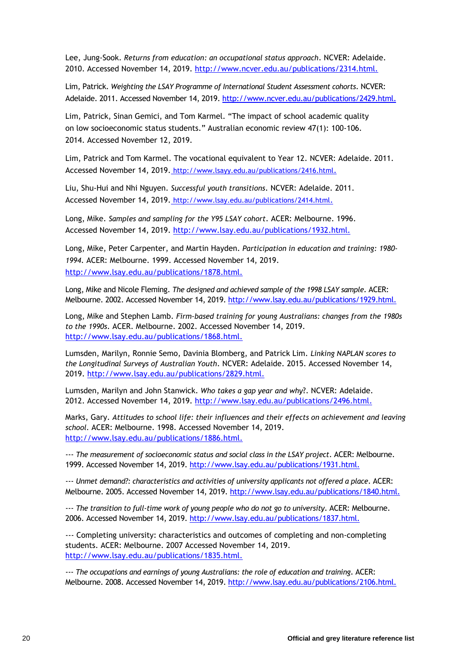Lee, Jung-Sook. *Returns from education: an occupational status approach*. NCVER: Adelaide. 2010. Accessed November 14, 2019.<http://www.ncver.edu.au/publications/2314.html.>

Lim, Patrick. *Weighting the LSAY Programme of International Student Assessment cohorts*. NCVER: Adelaide. 2011. Accessed November 14, 2019.<http://www.ncver.edu.au/publications/2429.html.>

Lim, Patrick, Sinan Gemici, and Tom Karmel. "The impact of school academic quality on low socioeconomic status students." Australian economic review 47(1): 100-106. 2014. Accessed November 12, 2019.

Lim, Patrick and Tom Karmel. The vocational equivalent to Year 12. NCVER: Adelaide. 2011. Accessed November 14, 2019[.](http://www.lsayy.edu.au/publications/2416.html) http://www.lsayy.edu.au/publications/2416.html.

Liu, Shu-Hui and Nhi Nguyen. *Successful youth transitions*. NCVER: Adelaide. 2011. Accessed November 14, 2019[.](http://www.lsay.edu.au/publications/2414.html) http://www.lsay.edu.au/publications/2414.html.

Long, Mike. *Samples and sampling for the Y95 LSAY cohort*. ACER: Melbourne. 1996. Accessed November 14, 2019.<http://www.lsay.edu.au/publications/1932.html.>

Long, Mike, Peter Carpenter, and Martin Hayden. *Participation in education and training: 1980- 1994*. ACER: Melbourne. 1999. Accessed November 14, 2019. <http://www.lsay.edu.au/publications/1878.html.>

Long, Mike and Nicole Fleming. *The designed and achieved sample of the 1998 LSAY sample*. ACER: Melbourne. 2002. Accessed November 14, 2019.<http://www.lsay.edu.au/publications/1929.html.>

Long, Mike and Stephen Lamb. *Firm-based training for young Australians: changes from the 1980s to the 1990s*. ACER. Melbourne. 2002. Accessed November 14, 2019. <http://www.lsay.edu.au/publications/1868.html.>

Lumsden, Marilyn, Ronnie Semo, Davinia Blomberg, and Patrick Lim. *Linking NAPLAN scores to the Longitudinal Surveys of Australian Youth*. NCVER: Adelaide. 2015. Accessed November 14, 2019.<http://www.lsay.edu.au/publications/2829.html.>

Lumsden, Marilyn and John Stanwick. *Who takes a gap year and why*?. NCVER: Adelaide. 2012. Accessed November 14, 2019.<http://www.lsay.edu.au/publications/2496.html.>

Marks, Gary. *Attitudes to school life: their influences and their effects on achievement and leaving school.* ACER: Melbourne. 1998. Accessed November 14, 2019. <http://www.lsay.edu.au/publications/1886.html.>

--- *The measurement of socioeconomic status and social class in the LSAY project*. ACER: Melbourne. 1999. Accessed November 14, 2019.<http://www.lsay.edu.au/publications/1931.html.>

--- *Unmet demand?: characteristics and activities of university applicants not offered a place*. ACER: Melbourne. 2005. Accessed November 14, 2019.<http://www.lsay.edu.au/publications/1840.html.>

--- *The transition to full-time work of young people who do not go to university*. ACER: Melbourne. 2006. Accessed November 14, 2019.<http://www.lsay.edu.au/publications/1837.html.>

--- Completing university: characteristics and outcomes of completing and non-completing students. ACER: Melbourne. 2007 Accessed November 14, 2019. <http://www.lsay.edu.au/publications/1835.html.>

--- *The occupations and earnings of young Australians: the role of education and training*. ACER: Melbourne. 2008. Accessed November 14, 2019.<http://www.lsay.edu.au/publications/2106.html.>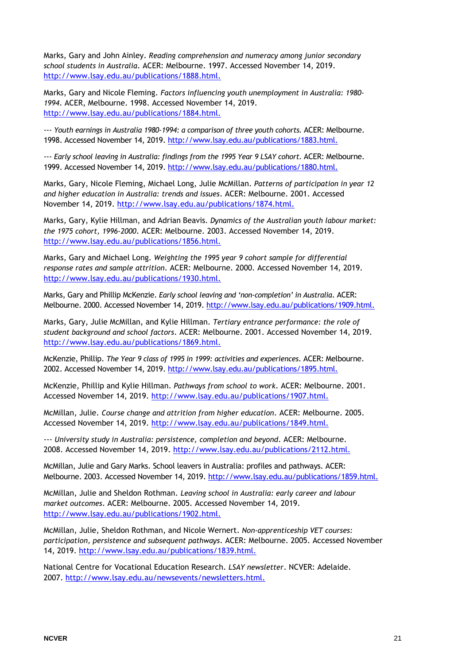Marks, Gary and John Ainley. *Reading comprehension and numeracy among junior secondary school students in Australia*. ACER: Melbourne. 1997. Accessed November 14, 2019. <http://www.lsay.edu.au/publications/1888.html.>

Marks, Gary and Nicole Fleming. *Factors influencing youth unemployment in Australia: 1980- 1994*. ACER, Melbourne. 1998. Accessed November 14, 2019. <http://www.lsay.edu.au/publications/1884.html.>

--- Youth earnings in Australia 1980-1994: a comparison of three youth cohorts. ACER: Melbourne. 1998. Accessed November 14, 2019[. http://www.lsay.edu.au/publications/1883.html.](http://www.lsay.edu.au/publications/1883.html.)

--- *Early school leaving in Australia: findings from the 1995 Year 9 LSAY cohort.* ACER: Melbourne. 1999. Accessed November 14, 2019[. http://www.lsay.edu.au/publications/1880.html.](http://www.lsay.edu.au/publications/1880.html.)

Marks, Gary, Nicole Fleming, Michael Long, Julie McMillan. *Patterns of participation in year 12 and higher education in Australia: trends and issues*. ACER: Melbourne. 2001. Accessed November 14, 2019.<http://www.lsay.edu.au/publications/1874.html.>

Marks, Gary, Kylie Hillman, and Adrian Beavis*. Dynamics of the Australian youth labour market: the 1975 cohort, 1996-2000*. ACER: Melbourne. 2003. Accessed November 14, 2019. <http://www.lsay.edu.au/publications/1856.html.>

Marks, Gary and Michael Long. *Weighting the 1995 year 9 cohort sample for differential response rates and sample attrition*. ACER: Melbourne. 2000. Accessed November 14, 2019. <http://www.lsay.edu.au/publications/1930.html.>

Marks, Gary and Phillip McKenzie. *Early school leaving and 'non-completion' in Australia*. ACER: Melbourne. 2000. Accessed November 14, 2019[. http://www.lsay.edu.au/publications/1909.html.](http://www.lsay.edu.au/publications/1909.html.)

Marks, Gary, Julie McMillan, and Kylie Hillman. *Tertiary entrance performance: the role of student background and school factors*. ACER: Melbourne. 2001. Accessed November 14, 2019. <http://www.lsay.edu.au/publications/1869.html.>

McKenzie, Phillip. *The Year 9 class of 1995 in 1999: activities and experiences*. ACER: Melbourne. 2002. Accessed November 14, 2019[. http://www.lsay.edu.au/publications/1895.html.](http://www.lsay.edu.au/publications/1895.html.)

McKenzie, Phillip and Kylie Hillman. *Pathways from school to work*. ACER: Melbourne. 2001. Accessed November 14, 2019.<http://www.lsay.edu.au/publications/1907.html.>

McMillan, Julie. *Course change and attrition from higher education*. ACER: Melbourne. 2005. Accessed November 14, 2019.<http://www.lsay.edu.au/publications/1849.html.>

--- *University study in Australia: persistence, completion and beyond*. ACER: Melbourne. 2008. Accessed November 14, 2019.<http://www.lsay.edu.au/publications/2112.html.>

McMillan, Julie and Gary Marks. School leavers in Australia: profiles and pathways. ACER: Melbourne. 2003. Accessed November 14, 2019.<http://www.lsay.edu.au/publications/1859.html.>

McMillan, Julie and Sheldon Rothman. *Leaving school in Australia: early career and labour market outcomes*. ACER: Melbourne. 2005. Accessed November 14, 2019. <http://www.lsay.edu.au/publications/1902.html.>

McMillan, Julie, Sheldon Rothman, and Nicole Wernert. *Non-apprenticeship VET courses: participation, persistence and subsequent pathways*. ACER: Melbourne. 2005. Accessed November 14, 2019.<http://www.lsay.edu.au/publications/1839.html.>

National Centre for Vocational Education Research. *LSAY newsletter*. NCVER: Adelaide. 2007.<http://www.lsay.edu.au/newsevents/newsletters.html.>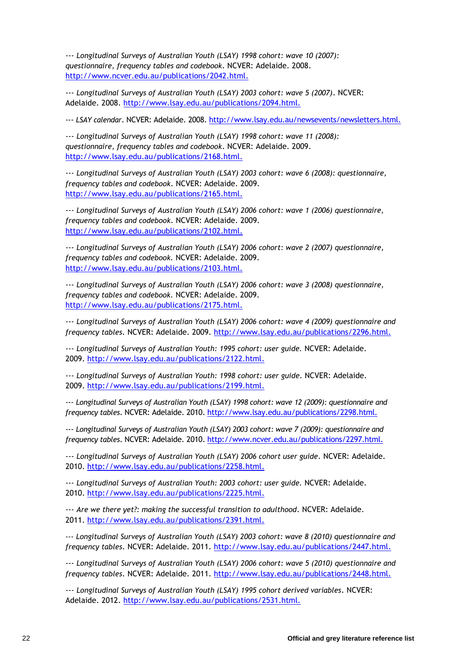--- *Longitudinal Surveys of Australian Youth (LSAY) 1998 cohort: wave 10 (2007): questionnaire, frequency tables and codebook*. NCVER: Adelaide. 2008. <http://www.ncver.edu.au/publications/2042.html.>

--- *Longitudinal Surveys of Australian Youth (LSAY) 2003 cohort: wave 5 (2007)*. NCVER: Adelaide. 2008.<http://www.lsay.edu.au/publications/2094.html.>

--- *LSAY calendar*. NCVER: Adelaide. 2008.<http://www.lsay.edu.au/newsevents/newsletters.html.>

--- *Longitudinal Surveys of Australian Youth (LSAY) 1998 cohort: wave 11 (2008): questionnaire, frequency tables and codebook*. NCVER: Adelaide. 2009. <http://www.lsay.edu.au/publications/2168.html.>

--- *Longitudinal Surveys of Australian Youth (LSAY) 2003 cohort: wave 6 (2008): questionnaire, frequency tables and codebook*. NCVER: Adelaide. 2009. <http://www.lsay.edu.au/publications/2165.html.>

--- *Longitudinal Surveys of Australian Youth (LSAY) 2006 cohort: wave 1 (2006) questionnaire, frequency tables and codebook*. NCVER: Adelaide. 2009. <http://www.lsay.edu.au/publications/2102.html.>

--- *Longitudinal Surveys of Australian Youth (LSAY) 2006 cohort: wave 2 (2007) questionnaire, frequency tables and codebook.* NCVER: Adelaide. 2009. <http://www.lsay.edu.au/publications/2103.html.>

--- *Longitudinal Surveys of Australian Youth (LSAY) 2006 cohort: wave 3 (2008) questionnaire, frequency tables and codebook.* NCVER: Adelaide. 2009. <http://www.lsay.edu.au/publications/2175.html.>

--- *Longitudinal Surveys of Australian Youth (LSAY) 2006 cohort: wave 4 (2009) questionnaire and frequency tables*. NCVER: Adelaide. 2009.<http://www.lsay.edu.au/publications/2296.html.>

--- *Longitudinal Surveys of Australian Youth: 1995 cohort: user guide.* NCVER: Adelaide. 2009.<http://www.lsay.edu.au/publications/2122.html.>

--- *Longitudinal Surveys of Australian Youth: 1998 cohort: user guide*. NCVER: Adelaide. 2009.<http://www.lsay.edu.au/publications/2199.html.>

--- *Longitudinal Surveys of Australian Youth (LSAY) 1998 cohort: wave 12 (2009): questionnaire and frequency tables*. NCVER: Adelaide. 2010.<http://www.lsay.edu.au/publications/2298.html.>

--- *Longitudinal Surveys of Australian Youth (LSAY) 2003 cohort: wave 7 (2009): questionnaire and frequency tables*. NCVER: Adelaide. 2010.<http://www.ncver.edu.au/publications/2297.html.>

--- *Longitudinal Surveys of Australian Youth (LSAY) 2006 cohort user guide*. NCVER: Adelaide. 2010.<http://www.lsay.edu.au/publications/2258.html.>

--- *Longitudinal Surveys of Australian Youth: 2003 cohort: user guide.* NCVER: Adelaide. 2010.<http://www.lsay.edu.au/publications/2225.html.>

--- *Are we there yet?: making the successful transition to adulthood*. NCVER: Adelaide. 2011.<http://www.lsay.edu.au/publications/2391.html.>

*--- Longitudinal Surveys of Australian Youth (LSAY) 2003 cohort: wave 8 (2010) questionnaire and frequency tables*. NCVER: Adelaide. 2011.<http://www.lsay.edu.au/publications/2447.html.>

--- *Longitudinal Surveys of Australian Youth (LSAY) 2006 cohort: wave 5 (2010) questionnaire and frequency tables*. NCVER: Adelaide. 2011.<http://www.lsay.edu.au/publications/2448.html.>

--- *Longitudinal Surveys of Australian Youth (LSAY) 1995 cohort derived variables*. NCVER: Adelaide. 2012.<http://www.lsay.edu.au/publications/2531.html.>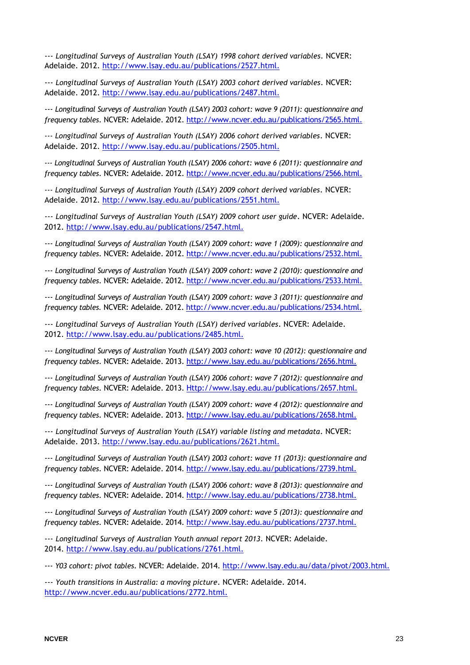--- *Longitudinal Surveys of Australian Youth (LSAY) 1998 cohort derived variables*. NCVER: Adelaide. 2012.<http://www.lsay.edu.au/publications/2527.html.>

--- *Longitudinal Surveys of Australian Youth (LSAY) 2003 cohort derived variables*. NCVER: Adelaide. 2012.<http://www.lsay.edu.au/publications/2487.html.>

--- *Longitudinal Surveys of Australian Youth (LSAY) 2003 cohort: wave 9 (2011): questionnaire and frequency tables*. NCVER: Adelaide. 2012.<http://www.ncver.edu.au/publications/2565.html.>

*--- Longitudinal Surveys of Australian Youth (LSAY) 2006 cohort derived variables*. NCVER: Adelaide. 2012.<http://www.lsay.edu.au/publications/2505.html.>

*--- Longitudinal Surveys of Australian Youth (LSAY) 2006 cohort: wave 6 (2011): questionnaire and frequency tables*. NCVER: Adelaide. 2012.<http://www.ncver.edu.au/publications/2566.html.>

*--- Longitudinal Surveys of Australian Youth (LSAY) 2009 cohort derived variables*. NCVER: Adelaide. 2012.<http://www.lsay.edu.au/publications/2551.html.>

--- *Longitudinal Surveys of Australian Youth (LSAY) 2009 cohort user guide*. NCVER: Adelaide. 2012.<http://www.lsay.edu.au/publications/2547.html.>

--- *Longitudinal Surveys of Australian Youth (LSAY) 2009 cohort: wave 1 (2009): questionnaire and frequency tables*. NCVER: Adelaide. 2012.<http://www.ncver.edu.au/publications/2532.html.>

--- *Longitudinal Surveys of Australian Youth (LSAY) 2009 cohort: wave 2 (2010): questionnaire and frequency tables*. NCVER: Adelaide. 2012.<http://www.ncver.edu.au/publications/2533.html.>

--- *Longitudinal Surveys of Australian Youth (LSAY) 2009 cohort: wave 3 (2011): questionnaire and frequency tables.* NCVER: Adelaide. 2012.<http://www.ncver.edu.au/publications/2534.html.>

--- *Longitudinal Surveys of Australian Youth (LSAY) derived variables*. NCVER: Adelaide. 2012.<http://www.lsay.edu.au/publications/2485.html.>

--- *Longitudinal Surveys of Australian Youth (LSAY) 2003 cohort: wave 10 (2012): questionnaire and frequency tables*. NCVER: Adelaide. 2013.<http://www.lsay.edu.au/publications/2656.html.>

--- *Longitudinal Surveys of Australian Youth (LSAY) 2006 cohort: wave 7 (2012): questionnaire and frequency tables*. NCVER: Adelaide. 2013. [Http://www.lsay.edu.au/publications/2657.html.](http://www.lsay.edu.au/publications/2657.html.)

--- *Longitudinal Surveys of Australian Youth (LSAY) 2009 cohort: wave 4 (2012): questionnaire and frequency tables*. NCVER: Adelaide. 2013.<http://www.lsay.edu.au/publications/2658.html.>

--- *Longitudinal Surveys of Australian Youth (LSAY) variable listing and metadata*. NCVER: Adelaide. 2013.<http://www.lsay.edu.au/publications/2621.html.>

--- *Longitudinal Surveys of Australian Youth (LSAY) 2003 cohort: wave 11 (2013): questionnaire and frequency tables*. NCVER: Adelaide. 2014.<http://www.lsay.edu.au/publications/2739.html.>

--- *Longitudinal Surveys of Australian Youth (LSAY) 2006 cohort: wave 8 (2013): questionnaire and frequency tables*. NCVER: Adelaide. 2014.<http://www.lsay.edu.au/publications/2738.html.>

--- *Longitudinal Surveys of Australian Youth (LSAY) 2009 cohort: wave 5 (2013): questionnaire and frequency tables*. NCVER: Adelaide. 2014.<http://www.lsay.edu.au/publications/2737.html.>

--- *Longitudinal Surveys of Australian Youth annual report 2013*. NCVER: Adelaide. 2014.<http://www.lsay.edu.au/publications/2761.html.>

--- *Y03 cohort: pivot tables*. NCVER: Adelaide. 2014.<http://www.lsay.edu.au/data/pivot/2003.html.>

--- *Youth transitions in Australia: a moving picture*. NCVER: Adelaide. 2014. <http://www.ncver.edu.au/publications/2772.html.>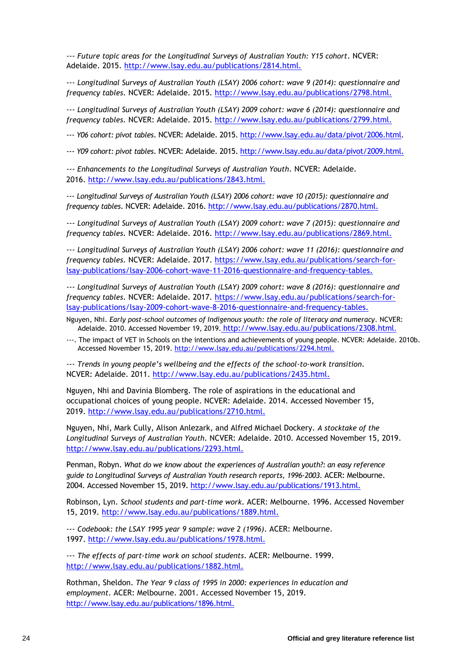--- *Future topic areas for the Longitudinal Surveys of Australian Youth: Y15 cohort*. NCVER: Adelaide. 2015.<http://www.lsay.edu.au/publications/2814.html.>

--- *Longitudinal Surveys of Australian Youth (LSAY) 2006 cohort: wave 9 (2014): questionnaire and frequency tables*. NCVER: Adelaide. 2015.<http://www.lsay.edu.au/publications/2798.html.>

--- *Longitudinal Surveys of Australian Youth (LSAY) 2009 cohort: wave 6 (2014): questionnaire and frequency tables*. NCVER: Adelaide. 2015.<http://www.lsay.edu.au/publications/2799.html.>

--- *Y06 cohort: pivot tables*. NCVER: Adelaide. 2015[. http://www.lsay.edu.au/data/pivot/2006.html.](http://www.lsay.edu.au/data/pivot/2006.html)

--- *Y09 cohort: pivot tables*. NCVER: Adelaide. 2015[. http://www.lsay.edu.au/data/pivot/2009.html.](http://www.lsay.edu.au/data/pivot/2009.html.)

--- *Enhancements to the Longitudinal Surveys of Australian Youth*. NCVER: Adelaide. 2016.<http://www.lsay.edu.au/publications/2843.html.>

--- *Longitudinal Surveys of Australian Youth (LSAY) 2006 cohort: wave 10 (2015): questionnaire and frequency tables*. NCVER: Adelaide. 2016.<http://www.lsay.edu.au/publications/2870.html.>

--- *Longitudinal Surveys of Australian Youth (LSAY) 2009 cohort: wave 7 (2015): questionnaire and frequency tables*. NCVER: Adelaide. 2016.<http://www.lsay.edu.au/publications/2869.html.>

--- *Longitudinal Surveys of Australian Youth (LSAY) 2006 cohort: wave 11 (2016): questionnaire and frequency tables*. NCVER: Adelaide. 2017. [https://www.lsay.edu.au/publications/search-for](https://www.lsay.edu.au/publications/search-for-lsay-publications/lsay-2006-cohort-wave-11-2016-questionnaire-and-frequency-tables.)[lsay-publications/lsay-2006-cohort-wave-11-2016-questionnaire-and-frequency-tables.](https://www.lsay.edu.au/publications/search-for-lsay-publications/lsay-2006-cohort-wave-11-2016-questionnaire-and-frequency-tables.)

--- *Longitudinal Surveys of Australian Youth (LSAY) 2009 cohort: wave 8 (2016): questionnaire and frequency tables*. NCVER: Adelaide. 2017. [https://www.lsay.edu.au/publications/search-for](https://www.lsay.edu.au/publications/search-for-lsay-publications/lsay-2009-cohort-wave-8-2016-questionnaire-and-frequency-tables.)[lsay-publications/lsay-2009-cohort-wave-8-2016-questionnaire-and-frequency-tables.](https://www.lsay.edu.au/publications/search-for-lsay-publications/lsay-2009-cohort-wave-8-2016-questionnaire-and-frequency-tables.)

Nguyen, Nhi. *Early post-school outcomes of Indigenous youth: the role of literacy and numeracy*. NCVER: Adelaide[.](http://www.lsay.edu.au/publications/2308.html) 2010. Accessed November 19, 2019. http://www.lsay.edu.au/publications/2308.html.

---. The impact of VET in Schools on the intentions and achievements of young people. NCVER: Adelaide. 2010b. Accessed November 15, 2019.<http://www.lsay.edu.au/publications/2294.html.>

--- *Trends in young people's wellbeing and the effects of the school-to-work transition*. NCVER: Adelaide. 2011.<http://www.lsay.edu.au/publications/2435.html.>

Nguyen, Nhi and Davinia Blomberg. The role of aspirations in the educational and occupational choices of young people. NCVER: Adelaide. 2014. Accessed November 15, 2019. [http://www.lsay.edu.au/publications/2710.html.](http://www.lsay.edu.au/publications/2710.html)

Nguyen, Nhi, Mark Cully, Alison Anlezark, and Alfred Michael Dockery. *A stocktake of the Longitudinal Surveys of Australian Youth*. NCVER: Adelaide. 2010. Accessed November 15, 2019. <http://www.lsay.edu.au/publications/2293.html.>

Penman, Robyn. *What do we know about the experiences of Australian youth?: an easy reference guide to Longitudinal Surveys of Australian Youth research reports, 1996-2003.* ACER: Melbourne. 2004. Accessed November 15, 2019.<http://www.lsay.edu.au/publications/1913.html.>

Robinson, Lyn. *School students and part-time work*. ACER: Melbourne. 1996. Accessed November 15, 2019.<http://www.lsay.edu.au/publications/1889.html.>

--- *Codebook: the LSAY 1995 year 9 sample: wave 2 (1996)*. ACER: Melbourne. 1997.<http://www.lsay.edu.au/publications/1978.html.>

--- *The effects of part-time work on school students*. ACER: Melbourne. 1999. <http://www.lsay.edu.au/publications/1882.html.>

Rothman, Sheldon. *The Year 9 class of 1995 in 2000: experiences in education and employment*. ACER: Melbourne. 2001. Accessed November 15, 2019. <http://www.lsay.edu.au/publications/1896.html.>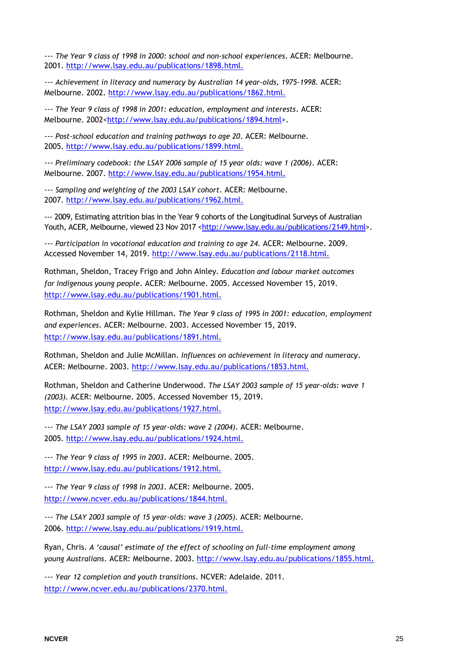--- *The Year 9 class of 1998 in 2000: school and non-school experiences*. ACER: Melbourne. 2001.<http://www.lsay.edu.au/publications/1898.html.>

--- *Achievement in literacy and numeracy by Australian 14 year-olds, 1975-1998.* ACER: Melbourne. 2002.<http://www.lsay.edu.au/publications/1862.html.>

--- *The Year 9 class of 1998 in 2001: education, employment and interests*. ACER: Melbourne. 2002[<http://www.lsay.edu.au/publications/1894.html>](http://www.lsay.edu.au/publications/1894.html).

--- *Post-school education and training pathways to age 20*. ACER: Melbourne. 2005.<http://www.lsay.edu.au/publications/1899.html.>

--- *Preliminary codebook: the LSAY 2006 sample of 15 year olds: wave 1 (2006)*. ACER: Melbourne. 2007.<http://www.lsay.edu.au/publications/1954.html.>

--- *Sampling and weighting of the 2003 LSAY cohort*. ACER: Melbourne. 2007.<http://www.lsay.edu.au/publications/1962.html.>

--- 2009, Estimating attrition bias in the Year 9 cohorts of the Longitudinal Surveys of Australian Youth, ACER, Melbourne, viewed 23 Nov 2017 [<http://www.lsay.edu.au/publications/2149.html>](http://www.lsay.edu.au/publications/2149.html).

--- *Participation in vocational education and training to age 24.* ACER: Melbourne. 2009. Accessed November 14, 2019.<http://www.lsay.edu.au/publications/2118.html.>

Rothman, Sheldon, Tracey Frigo and John Ainley. *Education and labour market outcomes for Indigenous young people*. ACER: Melbourne. 2005. Accessed November 15, 2019. <http://www.lsay.edu.au/publications/1901.html.>

Rothman, Sheldon and Kylie Hillman. *The Year 9 class of 1995 in 2001: education, employment and experiences*. ACER: Melbourne. 2003. Accessed November 15, 2019. <http://www.lsay.edu.au/publications/1891.html.>

Rothman, Sheldon and Julie McMillan. *Influences on achievement in literacy and numeracy*. ACER: Melbourne. 2003.<http://www.lsay.edu.au/publications/1853.html.>

Rothman, Sheldon and Catherine Underwood. *The LSAY 2003 sample of 15 year-olds: wave 1 (2003).* ACER: Melbourne. 2005. Accessed November 15, 2019. <http://www.lsay.edu.au/publications/1927.html.>

--- *The LSAY 2003 sample of 15 year-olds: wave 2 (2004)*. ACER: Melbourne. 2005.<http://www.lsay.edu.au/publications/1924.html.>

--- *The Year 9 class of 1995 in 2003*. ACER: Melbourne. 2005. <http://www.lsay.edu.au/publications/1912.html.>

--- *The Year 9 class of 1998 in 2003*. ACER: Melbourne. 2005. <http://www.ncver.edu.au/publications/1844.html.>

--- *The LSAY 2003 sample of 15 year-olds: wave 3 (2005).* ACER: Melbourne. 2006.<http://www.lsay.edu.au/publications/1919.html.>

Ryan, Chris. *A 'causal' estimate of the effect of schooling on full-time employment among young Australians*. ACER: Melbourne. 2003.<http://www.lsay.edu.au/publications/1855.html.>

--- *Year 12 completion and youth transitions*. NCVER: Adelaide. 2011. <http://www.ncver.edu.au/publications/2370.html.>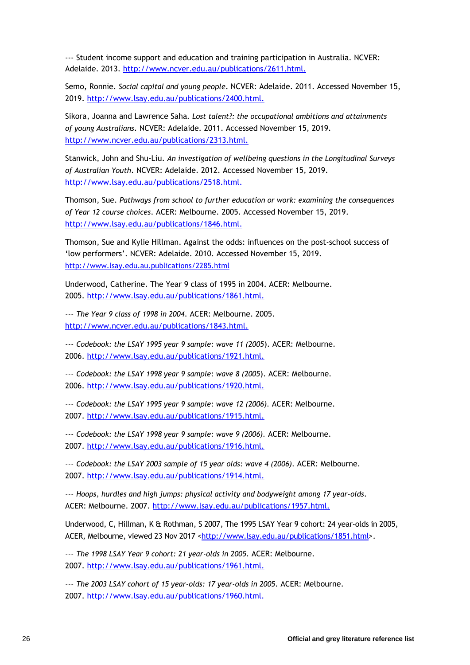--- Student income support and education and training participation in Australia. NCVER: Adelaide. 2013.<http://www.ncver.edu.au/publications/2611.html.>

Semo, Ronnie. *Social capital and young people*. NCVER: Adelaide. 2011. Accessed November 15, 2019.<http://www.lsay.edu.au/publications/2400.html.>

Sikora, Joanna and Lawrence Saha*. Lost talent?: the occupational ambitions and attainments of young Australians*. NCVER: Adelaide. 2011. Accessed November 15, 2019. <http://www.ncver.edu.au/publications/2313.html.>

Stanwick, John and Shu-Liu. *An investigation of wellbeing questions in the Longitudinal Surveys of Australian Youth*. NCVER: Adelaide. 2012. Accessed November 15, 2019. <http://www.lsay.edu.au/publications/2518.html.>

Thomson, Sue. *Pathways from school to further education or work: examining the consequences of Year 12 course choices*. ACER: Melbourne. 2005. Accessed November 15, 2019. <http://www.lsay.edu.au/publications/1846.html.>

Thomson, Sue and Kylie Hillman. Against the odds: influences on the post-school success of 'low performers'. NCVER: Adelaide. 2010. Accessed November 15, 2019. <http://www.lsay.edu.au.publications/2285.html>

Underwood, Catherine. The Year 9 class of 1995 in 2004. ACER: Melbourne. 2005.<http://www.lsay.edu.au/publications/1861.html.>

--- *The Year 9 class of 1998 in 2004*. ACER: Melbourne. 2005. <http://www.ncver.edu.au/publications/1843.html.>

--- *Codebook: the LSAY 1995 year 9 sample: wave 11 (2005*). ACER: Melbourne. 2006.<http://www.lsay.edu.au/publications/1921.html.>

--- *Codebook: the LSAY 1998 year 9 sample: wave 8 (2005*). ACER: Melbourne. 2006.<http://www.lsay.edu.au/publications/1920.html.>

--- *Codebook: the LSAY 1995 year 9 sample: wave 12 (2006).* ACER: Melbourne. 2007.<http://www.lsay.edu.au/publications/1915.html.>

--- *Codebook: the LSAY 1998 year 9 sample: wave 9 (2006).* ACER: Melbourne. 2007.<http://www.lsay.edu.au/publications/1916.html.>

--- *Codebook: the LSAY 2003 sample of 15 year olds: wave 4 (2006).* ACER: Melbourne. 2007.<http://www.lsay.edu.au/publications/1914.html.>

--- *Hoops, hurdles and high jumps: physical activity and bodyweight among 17 year-olds*. ACER: Melbourne. 2007.<http://www.lsay.edu.au/publications/1957.html.>

Underwood, C, Hillman, K & Rothman, S 2007, The 1995 LSAY Year 9 cohort: 24 year-olds in 2005, ACER, Melbourne, viewed 23 Nov 2017 [<http://www.lsay.edu.au/publications/1851.html>](http://www.lsay.edu.au/publications/1851.html).

--- *The 1998 LSAY Year 9 cohort: 21 year-olds in 2005*. ACER: Melbourne. 2007.<http://www.lsay.edu.au/publications/1961.html.>

--- *The 2003 LSAY cohort of 15 year-olds: 17 year-olds in 2005*. ACER: Melbourne. 2007.<http://www.lsay.edu.au/publications/1960.html.>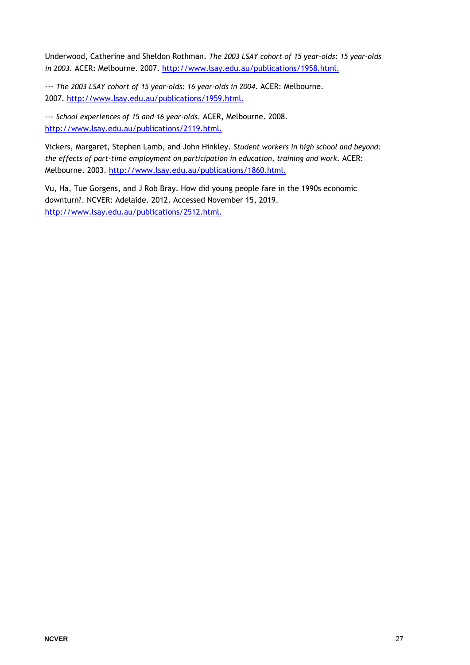Underwood, Catherine and Sheldon Rothman. *The 2003 LSAY cohort of 15 year-olds: 15 year-olds in 2003*. ACER: Melbourne. 2007.<http://www.lsay.edu.au/publications/1958.html.>

--- *The 2003 LSAY cohort of 15 year-olds: 16 year-olds in 2004*. ACER: Melbourne. 2007.<http://www.lsay.edu.au/publications/1959.html.>

--- *School experiences of 15 and 16 year-olds*. ACER, Melbourne. 2008. <http://www.lsay.edu.au/publications/2119.html.>

Vickers, Margaret, Stephen Lamb, and John Hinkley. *Student workers in high school and beyond: the effects of part-time employment on participation in education, training and work*. ACER: Melbourne. 2003.<http://www.lsay.edu.au/publications/1860.html.>

Vu, Ha, Tue Gorgens, and J Rob Bray. How did young people fare in the 1990s economic downturn?. NCVER: Adelaide. 2012. Accessed November 15, 2019. <http://www.lsay.edu.au/publications/2512.html.>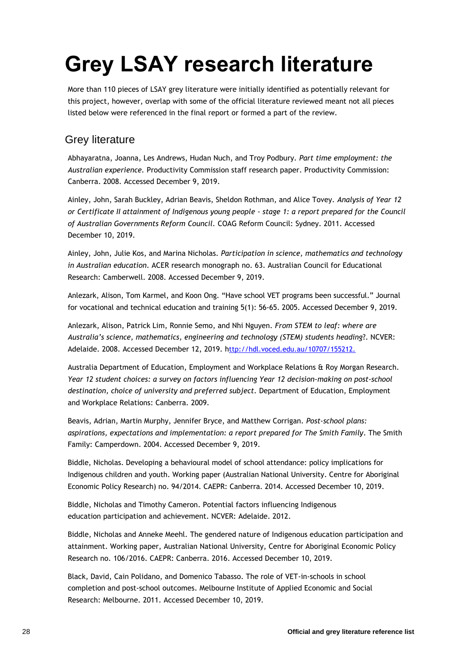# <span id="page-27-0"></span>**Grey LSAY research literature**

More than 110 pieces of LSAY grey literature were initially identified as potentially relevant for this project, however, overlap with some of the official literature reviewed meant not all pieces listed below were referenced in the final report or formed a part of the review.

#### <span id="page-27-1"></span>Grey literature

Abhayaratna, Joanna, Les Andrews, Hudan Nuch, and Troy Podbury. *Part time employment: the Australian experience.* Productivity Commission staff research paper. Productivity Commission: Canberra. 2008. Accessed December 9, 2019.

Ainley, John, Sarah Buckley, Adrian Beavis, Sheldon Rothman, and Alice Tovey. *Analysis of Year 12 or Certificate II attainment of Indigenous young people - stage 1: a report prepared for the Council of Australian Governments Reform Council.* COAG Reform Council: Sydney. 2011. Accessed December 10, 2019.

Ainley, John, Julie Kos, and Marina Nicholas*. Participation in science, mathematics and technology in Australian education*. ACER research monograph no. 63. Australian Council for Educational Research: Camberwell. 2008. Accessed December 9, 2019.

Anlezark, Alison, Tom Karmel, and Koon Ong. "Have school VET programs been successful." Journal for vocational and technical education and training 5(1): 56-65. 2005. Accessed December 9, 2019.

Anlezark, Alison, Patrick Lim, Ronnie Semo, and Nhi Nguyen. *From STEM to leaf: where are Australia's science, mathematics, engineering and technology (STEM) students heading*?. NCVER: Adelaide. 2008. Accessed December 12, 2019. h[ttp://hdl.voced.edu.au/10707/155212.](http://hdl.voced.edu.au/10707/155212)

Australia Department of Education, Employment and Workplace Relations & Roy Morgan Research. *Year 12 student choices: a survey on factors influencing Year 12 decision-making on post-school destination, choice of university and preferred subject.* Department of Education, Employment and Workplace Relations: Canberra. 2009.

Beavis, Adrian, Martin Murphy, Jennifer Bryce, and Matthew Corrigan. *Post-school plans: aspirations, expectations and implementation: a report prepared for The Smith Family*. The Smith Family: Camperdown. 2004. Accessed December 9, 2019.

Biddle, Nicholas. Developing a behavioural model of school attendance: policy implications for Indigenous children and youth. Working paper (Australian National University. Centre for Aboriginal Economic Policy Research) no. 94/2014. CAEPR: Canberra. 2014. Accessed December 10, 2019.

Biddle, Nicholas and Timothy Cameron. Potential factors influencing Indigenous education participation and achievement. NCVER: Adelaide. 2012.

Biddle, Nicholas and Anneke Meehl. The gendered nature of Indigenous education participation and attainment. Working paper, Australian National University, Centre for Aboriginal Economic Policy Research no. 106/2016. CAEPR: Canberra. 2016. Accessed December 10, 2019.

Black, David, Cain Polidano, and Domenico Tabasso. The role of VET-in-schools in school completion and post-school outcomes. Melbourne Institute of Applied Economic and Social Research: Melbourne. 2011. Accessed December 10, 2019.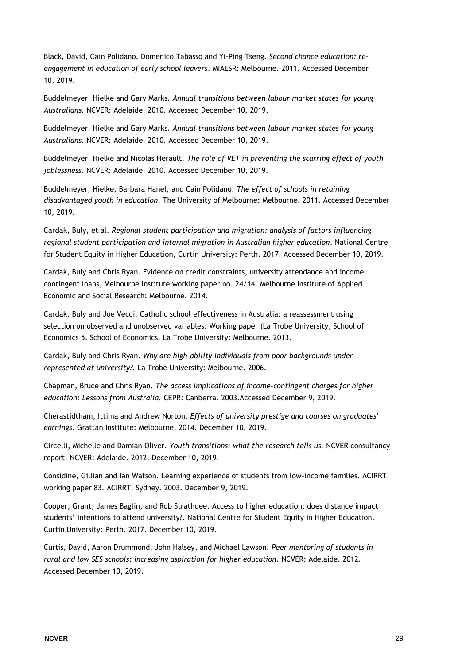Black, David, Cain Polidano, Domenico Tabasso and Yi-Ping Tseng. *Second chance education: reengagement in education of early school leavers*. MIAESR: Melbourne. 2011. Accessed December 10, 2019.

Buddelmeyer, Hielke and Gary Marks. *Annual transitions between labour market states for young Australians*. NCVER: Adelaide. 2010. Accessed December 10, 2019.

Buddelmeyer, Hielke and Gary Marks. *Annual transitions between labour market states for young Australians*. NCVER: Adelaide. 2010. Accessed December 10, 2019.

Buddelmeyer, Hielke and Nicolas Herault. *The role of VET in preventing the scarring effect of youth joblessness.* NCVER: Adelaide. 2010. Accessed December 10, 2019.

Buddelmeyer, Hielke, Barbara Hanel, and Cain Polidano. *The effect of schools in retaining disadvantaged youth in education*. The University of Melbourne: Melbourne. 2011. Accessed December 10, 2019.

Cardak, Buly, et al. *Regional student participation and migration: analysis of factors influencing regional student participation and internal migration in Australian higher education*. National Centre for Student Equity in Higher Education, Curtin University: Perth. 2017. Accessed December 10, 2019.

Cardak, Buly and Chris Ryan. Evidence on credit constraints, university attendance and income contingent loans, Melbourne Institute working paper no. 24/14. Melbourne Institute of Applied Economic and Social Research: Melbourne. 2014.

Cardak, Buly and Joe Vecci. Catholic school effectiveness in Australia: a reassessment using selection on observed and unobserved variables. Working paper (La Trobe University, School of Economics 5. School of Economics, La Trobe University: Melbourne. 2013.

Cardak, Buly and Chris Ryan. *Why are high-ability individuals from poor backgrounds underrepresented at university?.* La Trobe University: Melbourne. 2006.

Chapman, Bruce and Chris Ryan. *The access implications of income-contingent charges for higher education: Lessons from Australia.* CEPR: Canberra. 2003.Accessed December 9, 2019.

Cherastidtham, Ittima and Andrew Norton*. Effects of university prestige and courses on graduates' earnings*. Grattan Institute: Melbourne. 2014. December 10, 2019.

Circelli, Michelle and Damian Oliver. *Youth transitions: what the research tells us.* NCVER consultancy report. NCVER: Adelaide. 2012. December 10, 2019.

Considine, Gillian and Ian Watson. Learning experience of students from low-income families. ACIRRT working paper 83. ACIRRT: Sydney. 2003. December 9, 2019.

Cooper, Grant, James Baglin, and Rob Strathdee. Access to higher education: does distance impact students' intentions to attend university?. National Centre for Student Equity in Higher Education. Curtin University: Perth. 2017. December 10, 2019.

Curtis, David, Aaron Drummond, John Halsey, and Michael Lawson. *Peer mentoring of students in rural and low SES schools: increasing aspiration for higher education.* NCVER: Adelaide. 2012. Accessed December 10, 2019.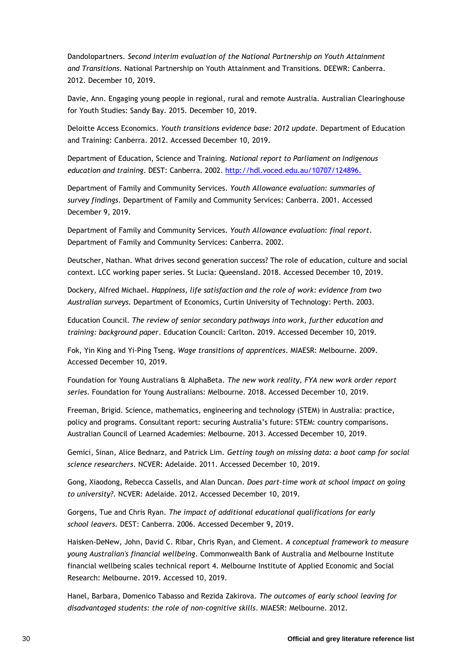Dandolopartners. *Second interim evaluation of the National Partnership on Youth Attainment and Transitions*. National Partnership on Youth Attainment and Transitions. DEEWR: Canberra. 2012. December 10, 2019.

Davie, Ann. Engaging young people in regional, rural and remote Australia. Australian Clearinghouse for Youth Studies: Sandy Bay. 2015. December 10, 2019.

Deloitte Access Economics. *Youth transitions evidence base: 2012 update.* Department of Education and Training: Canberra. 2012. Accessed December 10, 2019.

Department of Education, Science and Training. *National report to Parliament on Indigenous education and training*. DEST: Canberra. 2002.<http://hdl.voced.edu.au/10707/124896.>

Department of Family and Community Services. *Youth Allowance evaluation: summaries of survey findings*. Department of Family and Community Services: Canberra. 2001. Accessed December 9, 2019.

Department of Family and Community Services. *Youth Allowance evaluation: final report*. Department of Family and Community Services: Canberra. 2002.

Deutscher, Nathan. What drives second generation success? The role of education, culture and social context. LCC working paper series. St Lucia: Queensland. 2018. Accessed December 10, 2019.

Dockery, Alfred Michael. *Happiness, life satisfaction and the role of work: evidence from two Australian surveys.* Department of Economics, Curtin University of Technology: Perth. 2003.

Education Council*. The review of senior secondary pathways into work, further education and training: background paper*. Education Council: Carlton. 2019. Accessed December 10, 2019.

Fok, Yin King and Yi-Ping Tseng. *Wage transitions of apprentices*. MIAESR: Melbourne. 2009. Accessed December 10, 2019.

Foundation for Young Australians & AlphaBeta. *The new work reality, FYA new work order report series*. Foundation for Young Australians: Melbourne. 2018. Accessed December 10, 2019.

Freeman, Brigid. Science, mathematics, engineering and technology (STEM) in Australia: practice, policy and programs. Consultant report: securing Australia's future: STEM: country comparisons. Australian Council of Learned Academies: Melbourne. 2013. Accessed December 10, 2019.

Gemici, Sinan, Alice Bednarz, and Patrick Lim. *Getting tough on missing data: a boot camp for social science researchers*. NCVER: Adelaide. 2011. Accessed December 10, 2019.

Gong, Xiaodong, Rebecca Cassells, and Alan Duncan. *Does part-time work at school impact on going to university?*. NCVER: Adelaide. 2012. Accessed December 10, 2019.

Gorgens, Tue and Chris Ryan. *The impact of additional educational qualifications for early school leavers.* DEST: Canberra. 2006. Accessed December 9, 2019.

Haisken-DeNew, John, David C. Ribar, Chris Ryan, and Clement. *A conceptual framework to measure young Australian's financial wellbeing*. Commonwealth Bank of Australia and Melbourne Institute financial wellbeing scales technical report 4. Melbourne Institute of Applied Economic and Social Research: Melbourne. 2019. Accessed 10, 2019.

Hanel, Barbara, Domenico Tabasso and Rezida Zakirova. *The outcomes of early school leaving for disadvantaged students: the role of non-cognitive skills*. MIAESR: Melbourne. 2012.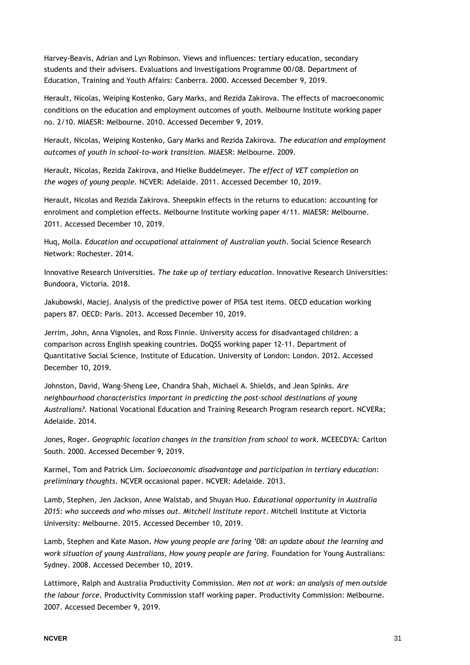Harvey-Beavis, Adrian and Lyn Robinson. Views and influences: tertiary education, secondary students and their advisers. Evaluations and Investigations Programme 00/08. Department of Education, Training and Youth Affairs: Canberra. 2000. Accessed December 9, 2019.

Herault, Nicolas, Weiping Kostenko, Gary Marks, and Rezida Zakirova. The effects of macroeconomic conditions on the education and employment outcomes of youth. Melbourne Institute working paper no. 2/10. MIAESR: Melbourne. 2010. Accessed December 9, 2019.

Herault, Nicolas, Weiping Kostenko, Gary Marks and Rezida Zakirova. *The education and employment outcomes of youth in school-to-work transition.* MIAESR: Melbourne. 2009.

Herault, Nicolas, Rezida Zakirova, and Hielke Buddelmeyer. *The effect of VET completion on the wages of young people.* NCVER: Adelaide. 2011. Accessed December 10, 2019.

Herault, Nicolas and Rezida Zakirova. Sheepskin effects in the returns to education: accounting for enrolment and completion effects. Melbourne Institute working paper 4/11. MIAESR: Melbourne. 2011. Accessed December 10, 2019.

Huq, Molla. *Education and occupational attainment of Australian youth*. Social Science Research Network: Rochester. 2014.

Innovative Research Universities. *The take up of tertiary education*. Innovative Research Universities: Bundoora, Victoria. 2018.

Jakubowski, Maciej. Analysis of the predictive power of PISA test items. OECD education working papers 87. OECD: Paris. 2013. Accessed December 10, 2019.

Jerrim, John, Anna Vignoles, and Ross Finnie. University access for disadvantaged children: a comparison across English speaking countries. DoQSS working paper 12-11. Department of Quantitative Social Science, Institute of Education. University of London: London. 2012. Accessed December 10, 2019.

Johnston, David, Wang-Sheng Lee, Chandra Shah, Michael A. Shields, and Jean Spinks. *Are neighbourhood characteristics important in predicting the post-school destinations of young Australians?.* National Vocational Education and Training Research Program research report. NCVERa; Adelaide. 2014.

Jones, Roger. *Geographic location changes in the transition from school to work*. MCEECDYA: Carlton South. 2000. Accessed December 9, 2019.

Karmel, Tom and Patrick Lim. *Socioeconomic disadvantage and participation in tertiary education: preliminary thoughts*. NCVER occasional paper. NCVER: Adelaide. 2013.

Lamb, Stephen, Jen Jackson, Anne Walstab, and Shuyan Huo. *Educational opportunity in Australia 2015: who succeeds and who misses out. Mitchell Institute report*. Mitchell Institute at Victoria University: Melbourne. 2015. Accessed December 10, 2019.

Lamb, Stephen and Kate Mason. *How young people are faring '08: an update about the learning and work situation of young Australians, How young people are faring*. Foundation for Young Australians: Sydney. 2008. Accessed December 10, 2019.

Lattimore, Ralph and Australia Productivity Commission. *Men not at work: an analysis of men outside the labour force*. Productivity Commission staff working paper. Productivity Commission: Melbourne. 2007. Accessed December 9, 2019.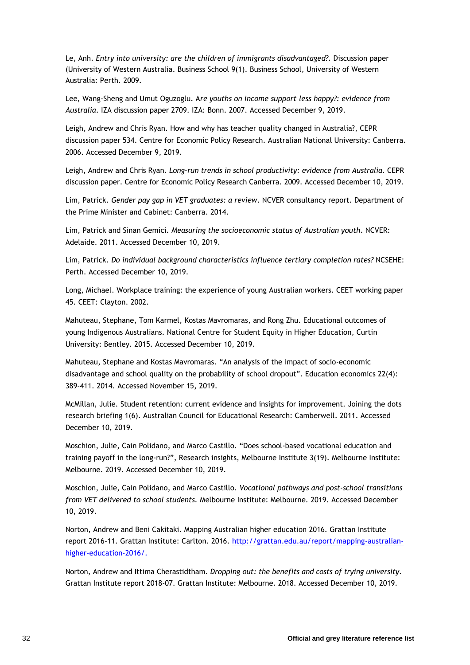Le, Anh. *Entry into university: are the children of immigrants disadvantaged?.* Discussion paper (University of Western Australia. Business School 9(1). Business School, University of Western Australia: Perth. 2009.

Lee, Wang-Sheng and Umut Oguzoglu. A*re youths on income support less happy?: evidence from Australia*. IZA discussion paper 2709. IZA: Bonn. 2007. Accessed December 9, 2019.

Leigh, Andrew and Chris Ryan. How and why has teacher quality changed in Australia?, CEPR discussion paper 534. Centre for Economic Policy Research. Australian National University: Canberra. 2006. Accessed December 9, 2019.

Leigh, Andrew and Chris Ryan. *Long-run trends in school productivity: evidence from Australia*. CEPR discussion paper. Centre for Economic Policy Research Canberra. 2009. Accessed December 10, 2019.

Lim, Patrick. *Gender pay gap in VET graduates: a review*. NCVER consultancy report. Department of the Prime Minister and Cabinet: Canberra. 2014.

Lim, Patrick and Sinan Gemici*. Measuring the socioeconomic status of Australian youth*. NCVER: Adelaide. 2011. Accessed December 10, 2019.

Lim, Patrick. *Do individual background characteristics influence tertiary completion rates?* NCSEHE: Perth. Accessed December 10, 2019.

Long, Michael. Workplace training: the experience of young Australian workers. CEET working paper 45. CEET: Clayton. 2002.

Mahuteau, Stephane, Tom Karmel, Kostas Mavromaras, and Rong Zhu. Educational outcomes of young Indigenous Australians. National Centre for Student Equity in Higher Education, Curtin University: Bentley. 2015. Accessed December 10, 2019.

Mahuteau, Stephane and Kostas Mavromaras. "An analysis of the impact of socio-economic disadvantage and school quality on the probability of school dropout". Education economics 22(4): 389-411. 2014. Accessed November 15, 2019.

McMillan, Julie. Student retention: current evidence and insights for improvement. Joining the dots research briefing 1(6). Australian Council for Educational Research: Camberwell. 2011. Accessed December 10, 2019.

Moschion, Julie, Cain Polidano, and Marco Castillo. "Does school-based vocational education and training payoff in the long-run?", Research insights, Melbourne Institute 3(19). Melbourne Institute: Melbourne. 2019. Accessed December 10, 2019.

Moschion, Julie, Cain Polidano, and Marco Castillo. *Vocational pathways and post-school transitions from VET delivered to school students.* Melbourne Institute: Melbourne. 2019. Accessed December 10, 2019.

Norton, Andrew and Beni Cakitaki. Mapping Australian higher education 2016. Grattan Institute report 2016-11. Grattan Institute: Carlton. 2016. [http://grattan.edu.au/report/mapping-australian](http://grattan.edu.au/report/mapping-australian-higher-education-2016/)[higher-education-2016/.](http://grattan.edu.au/report/mapping-australian-higher-education-2016/)

Norton, Andrew and Ittima Cherastidtham*. Dropping out: the benefits and costs of trying university*. Grattan Institute report 2018-07. Grattan Institute: Melbourne. 2018. Accessed December 10, 2019.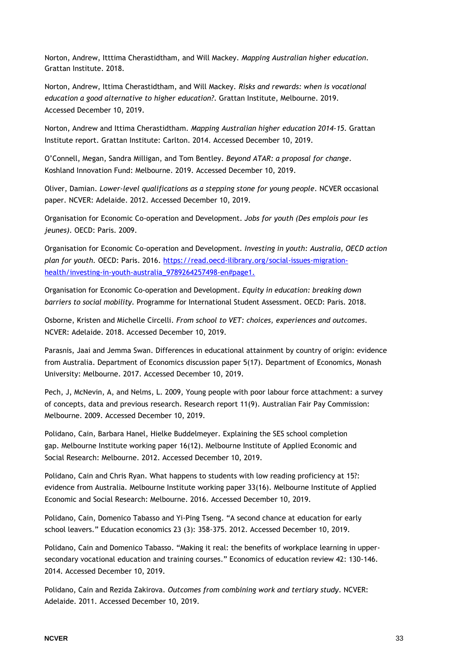Norton, Andrew, Itttima Cherastidtham, and Will Mackey. *Mapping Australian higher education*. Grattan Institute. 2018.

Norton, Andrew, Ittima Cherastidtham, and Will Mackey. *Risks and rewards: when is vocational education a good alternative to higher education?*. Grattan Institute, Melbourne. 2019. Accessed December 10, 2019.

Norton, Andrew and Ittima Cherastidtham. *Mapping Australian higher education 2014-15.* Grattan Institute report. Grattan Institute: Carlton. 2014. Accessed December 10, 2019.

O'Connell, Megan, Sandra Milligan, and Tom Bentley. *Beyond ATAR: a proposal for change*. Koshland Innovation Fund: Melbourne. 2019. Accessed December 10, 2019.

Oliver, Damian. *Lower-level qualifications as a stepping stone for young people*. NCVER occasional paper. NCVER: Adelaide. 2012. Accessed December 10, 2019.

Organisation for Economic Co-operation and Development. *Jobs for youth (Des emplois pour les jeunes).* OECD: Paris. 2009.

Organisation for Economic Co-operation and Development*. Investing in youth: Australia, OECD action plan for youth.* OECD: Paris. 2016. [https://read.oecd-ilibrary.org/social-issues-migration](https://read.oecd-ilibrary.org/social-issues-migration-health/investing-in-youth-australia_9789264257498-en#page1.)[health/investing-in-youth-australia\\_9789264257498-en#page1.](https://read.oecd-ilibrary.org/social-issues-migration-health/investing-in-youth-australia_9789264257498-en#page1.)

Organisation for Economic Co-operation and Development. *Equity in education: breaking down barriers to social mobility*. Programme for International Student Assessment. OECD: Paris. 2018.

Osborne, Kristen and Michelle Circelli*. From school to VET: choices, experiences and outcomes*. NCVER: Adelaide. 2018. Accessed December 10, 2019.

Parasnis, Jaai and Jemma Swan. Differences in educational attainment by country of origin: evidence from Australia. Department of Economics discussion paper 5(17). Department of Economics, Monash University: Melbourne. 2017. Accessed December 10, 2019.

Pech, J, McNevin, A, and Nelms, L. 2009, Young people with poor labour force attachment: a survey of concepts, data and previous research. Research report 11(9). Australian Fair Pay Commission: Melbourne. 2009. Accessed December 10, 2019.

Polidano, Cain, Barbara Hanel, Hielke Buddelmeyer. Explaining the SES school completion gap. Melbourne Institute working paper 16(12). Melbourne Institute of Applied Economic and Social Research: Melbourne. 2012. Accessed December 10, 2019.

Polidano, Cain and Chris Ryan. What happens to students with low reading proficiency at 15?: evidence from Australia. Melbourne Institute working paper 33(16). Melbourne Institute of Applied Economic and Social Research: Melbourne. 2016. Accessed December 10, 2019.

Polidano, Cain, Domenico Tabasso and Yi-Ping Tseng. "A second chance at education for early school leavers." Education economics 23 (3): 358-375. 2012. Accessed December 10, 2019.

Polidano, Cain and Domenico Tabasso. "Making it real: the benefits of workplace learning in uppersecondary vocational education and training courses." Economics of education review 42: 130-146. 2014. Accessed December 10, 2019.

Polidano, Cain and Rezida Zakirova. *Outcomes from combining work and tertiary study*. NCVER: Adelaide. 2011. Accessed December 10, 2019.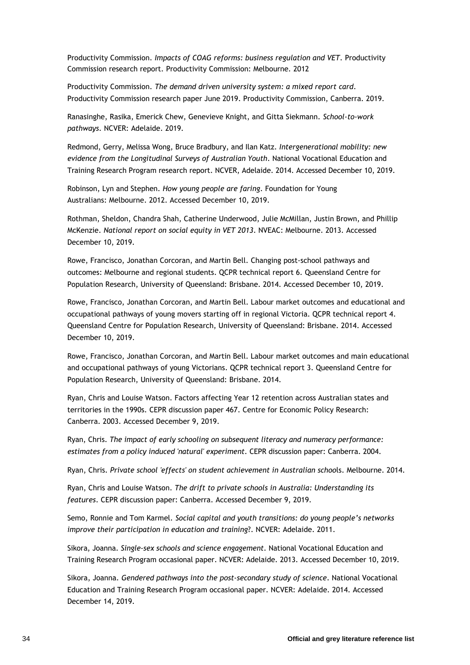Productivity Commission. *Impacts of COAG reforms: business regulation and VET*. Productivity Commission research report. Productivity Commission: Melbourne. 2012

Productivity Commission. *The demand driven university system: a mixed report card*. Productivity Commission research paper June 2019. Productivity Commission, Canberra. 2019.

Ranasinghe, Rasika, Emerick Chew, Genevieve Knight, and Gitta Siekmann. *School-to-work pathways*. NCVER: Adelaide. 2019.

Redmond, Gerry, Melissa Wong, Bruce Bradbury, and Ilan Katz*. Intergenerational mobility: new evidence from the Longitudinal Surveys of Australian Youth*. National Vocational Education and Training Research Program research report. NCVER, Adelaide. 2014. Accessed December 10, 2019.

Robinson, Lyn and Stephen. *How young people are faring*. Foundation for Young Australians: Melbourne. 2012. Accessed December 10, 2019.

Rothman, Sheldon, Chandra Shah, Catherine Underwood, Julie McMillan, Justin Brown, and Phillip McKenzie. *National report on social equity in VET 2013*. NVEAC: Melbourne. 2013. Accessed December 10, 2019.

Rowe, Francisco, Jonathan Corcoran, and Martin Bell. Changing post-school pathways and outcomes: Melbourne and regional students. QCPR technical report 6. Queensland Centre for Population Research, University of Queensland: Brisbane. 2014. Accessed December 10, 2019.

Rowe, Francisco, Jonathan Corcoran, and Martin Bell. Labour market outcomes and educational and occupational pathways of young movers starting off in regional Victoria. QCPR technical report 4. Queensland Centre for Population Research, University of Queensland: Brisbane. 2014. Accessed December 10, 2019.

Rowe, Francisco, Jonathan Corcoran, and Martin Bell. Labour market outcomes and main educational and occupational pathways of young Victorians. QCPR technical report 3. Queensland Centre for Population Research, University of Queensland: Brisbane. 2014.

Ryan, Chris and Louise Watson. Factors affecting Year 12 retention across Australian states and territories in the 1990s. CEPR discussion paper 467. Centre for Economic Policy Research: Canberra. 2003. Accessed December 9, 2019.

Ryan, Chris. *The impact of early schooling on subsequent literacy and numeracy performance: estimates from a policy induced 'natural' experiment*. CEPR discussion paper: Canberra. 2004.

Ryan, Chris. *Private school 'effects' on student achievement in Australian schoo*ls. Melbourne. 2014.

Ryan, Chris and Louise Watson. *The drift to private schools in Australia: Understanding its features*. CEPR discussion paper: Canberra. Accessed December 9, 2019.

Semo, Ronnie and Tom Karmel. *Social capital and youth transitions: do young people's networks improve their participation in education and training*?. NCVER: Adelaide. 2011.

Sikora, Joanna. *Single-sex schools and science engagement*. National Vocational Education and Training Research Program occasional paper. NCVER: Adelaide. 2013. Accessed December 10, 2019.

Sikora, Joanna. *Gendered pathways into the post-secondary study of science*. National Vocational Education and Training Research Program occasional paper. NCVER: Adelaide. 2014. Accessed December 14, 2019.